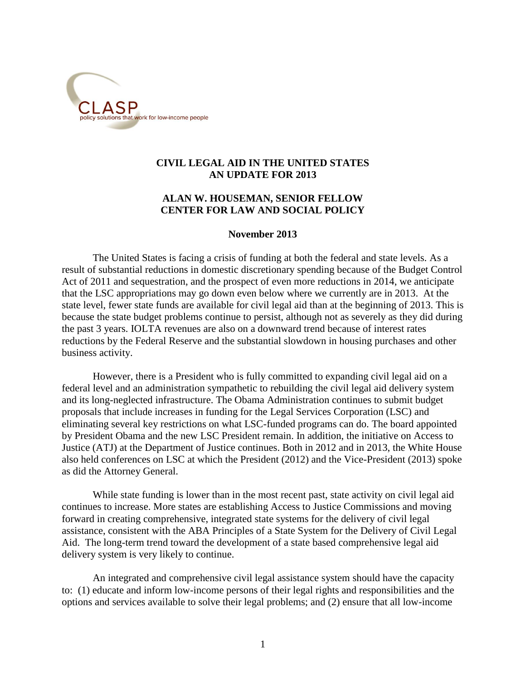

# **CIVIL LEGAL AID IN THE UNITED STATES AN UPDATE FOR 2013**

# **ALAN W. HOUSEMAN, SENIOR FELLOW CENTER FOR LAW AND SOCIAL POLICY**

## **November 2013**

The United States is facing a crisis of funding at both the federal and state levels. As a result of substantial reductions in domestic discretionary spending because of the Budget Control Act of 2011 and sequestration, and the prospect of even more reductions in 2014, we anticipate that the LSC appropriations may go down even below where we currently are in 2013. At the state level, fewer state funds are available for civil legal aid than at the beginning of 2013. This is because the state budget problems continue to persist, although not as severely as they did during the past 3 years. IOLTA revenues are also on a downward trend because of interest rates reductions by the Federal Reserve and the substantial slowdown in housing purchases and other business activity.

However, there is a President who is fully committed to expanding civil legal aid on a federal level and an administration sympathetic to rebuilding the civil legal aid delivery system and its long-neglected infrastructure. The Obama Administration continues to submit budget proposals that include increases in funding for the Legal Services Corporation (LSC) and eliminating several key restrictions on what LSC-funded programs can do. The board appointed by President Obama and the new LSC President remain. In addition, the initiative on Access to Justice (ATJ) at the Department of Justice continues. Both in 2012 and in 2013, the White House also held conferences on LSC at which the President (2012) and the Vice-President (2013) spoke as did the Attorney General.

While state funding is lower than in the most recent past, state activity on civil legal aid continues to increase. More states are establishing Access to Justice Commissions and moving forward in creating comprehensive, integrated state systems for the delivery of civil legal assistance, consistent with the ABA Principles of a State System for the Delivery of Civil Legal Aid. The long-term trend toward the development of a state based comprehensive legal aid delivery system is very likely to continue.

An integrated and comprehensive civil legal assistance system should have the capacity to: (1) educate and inform low-income persons of their legal rights and responsibilities and the options and services available to solve their legal problems; and (2) ensure that all low-income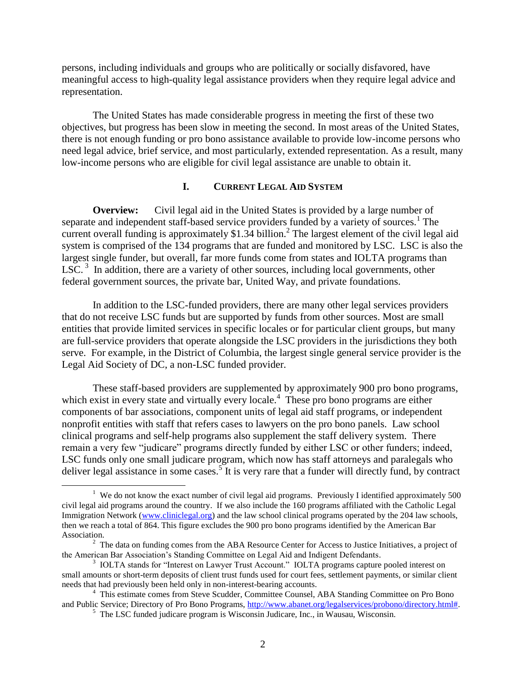persons, including individuals and groups who are politically or socially disfavored, have meaningful access to high-quality legal assistance providers when they require legal advice and representation.

The United States has made considerable progress in meeting the first of these two objectives, but progress has been slow in meeting the second. In most areas of the United States, there is not enough funding or pro bono assistance available to provide low-income persons who need legal advice, brief service, and most particularly, extended representation. As a result, many low-income persons who are eligible for civil legal assistance are unable to obtain it.

# **I. CURRENT LEGAL AID SYSTEM**

**Overview:** Civil legal aid in the United States is provided by a large number of separate and independent staff-based service providers funded by a variety of sources.<sup>1</sup> The current overall funding is approximately  $$1.34$  billion.<sup>2</sup> The largest element of the civil legal aid system is comprised of the 134 programs that are funded and monitored by LSC. LSC is also the largest single funder, but overall, far more funds come from states and IOLTA programs than LSC.<sup>3</sup> In addition, there are a variety of other sources, including local governments, other federal government sources, the private bar, United Way, and private foundations.

In addition to the LSC-funded providers, there are many other legal services providers that do not receive LSC funds but are supported by funds from other sources. Most are small entities that provide limited services in specific locales or for particular client groups, but many are full-service providers that operate alongside the LSC providers in the jurisdictions they both serve. For example, in the District of Columbia, the largest single general service provider is the Legal Aid Society of DC, a non-LSC funded provider.

These staff-based providers are supplemented by approximately 900 pro bono programs, which exist in every state and virtually every locale.<sup>4</sup> These pro bono programs are either components of bar associations, component units of legal aid staff programs, or independent nonprofit entities with staff that refers cases to lawyers on the pro bono panels. Law school clinical programs and self-help programs also supplement the staff delivery system. There remain a very few "judicare" programs directly funded by either LSC or other funders; indeed, LSC funds only one small judicare program, which now has staff attorneys and paralegals who deliver legal assistance in some cases.<sup>5</sup> It is very rare that a funder will directly fund, by contract

<sup>&</sup>lt;sup>1</sup> We do not know the exact number of civil legal aid programs. Previously I identified approximately 500 civil legal aid programs around the country. If we also include the 160 programs affiliated with the Catholic Legal Immigration Network [\(www.cliniclegal.org\)](http://www.cliniclegal.org/) and the law school clinical programs operated by the 204 law schools, then we reach a total of 864. This figure excludes the 900 pro bono programs identified by the American Bar Association.

<sup>&</sup>lt;sup>2</sup> The data on funding comes from the ABA Resource Center for Access to Justice Initiatives, a project of the American Bar Association's Standing Committee on Legal Aid and Indigent Defendants.

<sup>&</sup>lt;sup>3</sup> IOLTA stands for "Interest on Lawyer Trust Account." IOLTA programs capture pooled interest on small amounts or short-term deposits of client trust funds used for court fees, settlement payments, or similar client needs that had previously been held only in non-interest-bearing accounts.

<sup>&</sup>lt;sup>4</sup> This estimate comes from Steve Scudder, Committee Counsel, ABA Standing Committee on Pro Bono and Public Service; Directory of Pro Bono Programs, [http://www.abanet.org/legalservices/probono/directory.html#.](http://www.abanet.org/legalservices/probono/directory.html)

<sup>5</sup> The LSC funded judicare program is Wisconsin Judicare, Inc., in Wausau, Wisconsin.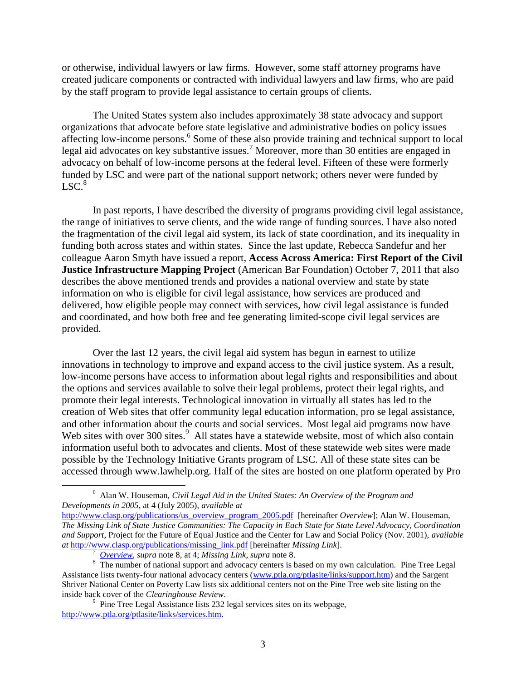or otherwise, individual lawyers or law firms. However, some staff attorney programs have created judicare components or contracted with individual lawyers and law firms, who are paid by the staff program to provide legal assistance to certain groups of clients.

The United States system also includes approximately 38 state advocacy and support organizations that advocate before state legislative and administrative bodies on policy issues affecting low-income persons.<sup>6</sup> Some of these also provide training and technical support to local legal aid advocates on key substantive issues.<sup>7</sup> Moreover, more than 30 entities are engaged in advocacy on behalf of low-income persons at the federal level. Fifteen of these were formerly funded by LSC and were part of the national support network; others never were funded by  $LSC<sup>8</sup>$ 

In past reports, I have described the diversity of programs providing civil legal assistance, the range of initiatives to serve clients, and the wide range of funding sources. I have also noted the fragmentation of the civil legal aid system, its lack of state coordination, and its inequality in funding both across states and within states. Since the last update, Rebecca Sandefur and her colleague Aaron Smyth have issued a report, **Access Across America: First Report of the Civil Justice Infrastructure Mapping Project** (American Bar Foundation) October 7, 2011 that also describes the above mentioned trends and provides a national overview and state by state information on who is eligible for civil legal assistance, how services are produced and delivered, how eligible people may connect with services, how civil legal assistance is funded and coordinated, and how both free and fee generating limited-scope civil legal services are provided.

Over the last 12 years, the civil legal aid system has begun in earnest to utilize innovations in technology to improve and expand access to the civil justice system. As a result, low-income persons have access to information about legal rights and responsibilities and about the options and services available to solve their legal problems, protect their legal rights, and promote their legal interests. Technological innovation in virtually all states has led to the creation of Web sites that offer community legal education information, pro se legal assistance, and other information about the courts and social services. Most legal aid programs now have Web sites with over 300 sites.<sup>9</sup> All states have a statewide website, most of which also contain information useful both to advocates and clients. Most of these statewide web sites were made possible by the Technology Initiative Grants program of LSC. All of these state sites can be accessed through www.lawhelp.org. Half of the sites are hosted on one platform operated by Pro

<sup>6</sup> Alan W. Houseman, *Civil Legal Aid in the United States: An Overview of the Program and Developments in 2005*, at 4 (July 2005), *available at*

[http://www.clasp.org/publications/us\\_overview\\_program\\_2005.pdf](http://www.clasp.org/publications/us_overview_program_2005.pdf) [hereinafter *Overview*]; Alan W. Houseman, *The Missing Link of State Justice Communities: The Capacity in Each State for State Level Advocacy, Coordination and Support*, Project for the Future of Equal Justice and the Center for Law and Social Policy (Nov. 2001), *available at* [http://www.clasp.org/publications/missing\\_link.pdf](http://www.clasp.org/publications/missing_link.pdf) [hereinafter *Missing Link*].

<sup>7</sup> *[Overview](file:///C:/Documents%20and%20Settings/ahouse/Local%20Settings/Temporary%20Internet%20Files/Content.IE5/N97VGCVZ/Overview)*, *supra* note 8, at 4; *Missing Link*, *supra* note 8.

<sup>&</sup>lt;sup>8</sup> The number of national support and advocacy centers is based on my own calculation. Pine Tree Legal Assistance lists twenty-four national advocacy centers [\(www.ptla.org/ptlasite/links/support.htm\)](http://www.ptla.org/ptlasite/links/support.htm) and the Sargent Shriver National Center on Poverty Law lists six additional centers not on the Pine Tree web site listing on the inside back cover of the *Clearinghouse Review*.

<sup>&</sup>lt;sup>9</sup> Pine Tree Legal Assistance lists 232 legal services sites on its webpage, [http://www.ptla.org/ptlasite/links/services.htm.](http://www.ptla.org/ptlasite/links/services.htm)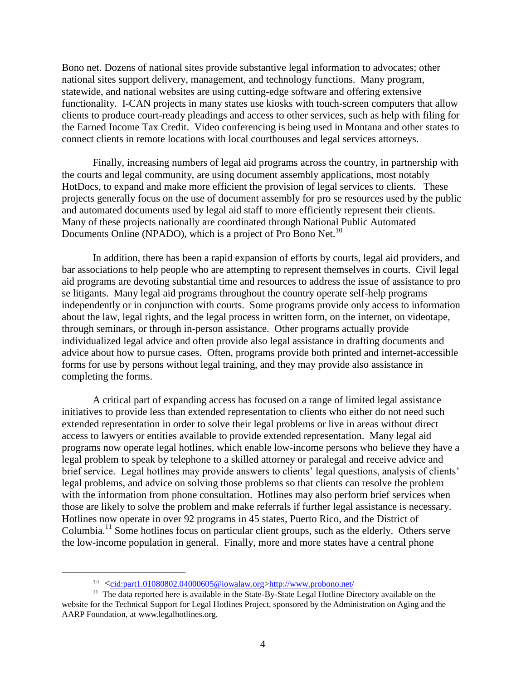Bono net. Dozens of national sites provide substantive legal information to advocates; other national sites support delivery, management, and technology functions. Many program, statewide, and national websites are using cutting-edge software and offering extensive functionality. I-CAN projects in many states use kiosks with touch-screen computers that allow clients to produce court-ready pleadings and access to other services, such as help with filing for the Earned Income Tax Credit. Video conferencing is being used in Montana and other states to connect clients in remote locations with local courthouses and legal services attorneys.

Finally, increasing numbers of legal aid programs across the country, in partnership with the courts and legal community, are using document assembly applications, most notably HotDocs, to expand and make more efficient the provision of legal services to clients. These projects generally focus on the use of document assembly for pro se resources used by the public and automated documents used by legal aid staff to more efficiently represent their clients. Many of these projects nationally are coordinated through National Public Automated Documents Online (NPADO), which is a project of Pro Bono Net.<sup>10</sup>

In addition, there has been a rapid expansion of efforts by courts, legal aid providers, and bar associations to help people who are attempting to represent themselves in courts. Civil legal aid programs are devoting substantial time and resources to address the issue of assistance to pro se litigants. Many legal aid programs throughout the country operate self-help programs independently or in conjunction with courts. Some programs provide only access to information about the law, legal rights, and the legal process in written form, on the internet, on videotape, through seminars, or through in-person assistance. Other programs actually provide individualized legal advice and often provide also legal assistance in drafting documents and advice about how to pursue cases. Often, programs provide both printed and internet-accessible forms for use by persons without legal training, and they may provide also assistance in completing the forms.

A critical part of expanding access has focused on a range of limited legal assistance initiatives to provide less than extended representation to clients who either do not need such extended representation in order to solve their legal problems or live in areas without direct access to lawyers or entities available to provide extended representation. Many legal aid programs now operate legal hotlines, which enable low-income persons who believe they have a legal problem to speak by telephone to a skilled attorney or paralegal and receive advice and brief service. Legal hotlines may provide answers to clients' legal questions, analysis of clients' legal problems, and advice on solving those problems so that clients can resolve the problem with the information from phone consultation. Hotlines may also perform brief services when those are likely to solve the problem and make referrals if further legal assistance is necessary. Hotlines now operate in over 92 programs in 45 states, Puerto Rico, and the District of Columbia.<sup>11</sup> Some hotlines focus on particular client groups, such as the elderly. Others serve the low-income population in general. Finally, more and more states have a central phone

<sup>&</sup>lt;sup>10</sup>  $\leq$ <cid:part1.01080802.04000605@iowalaw.org>[>http://www.probono.net/](http://www.probono.net/)

<sup>&</sup>lt;sup>11</sup> The data reported here is available in the State-By-State Legal Hotline Directory available on the website for the Technical Support for Legal Hotlines Project, sponsored by the Administration on Aging and the AARP Foundation, at [www.legalhotlines.org.](http://www.legalhotlines.org/)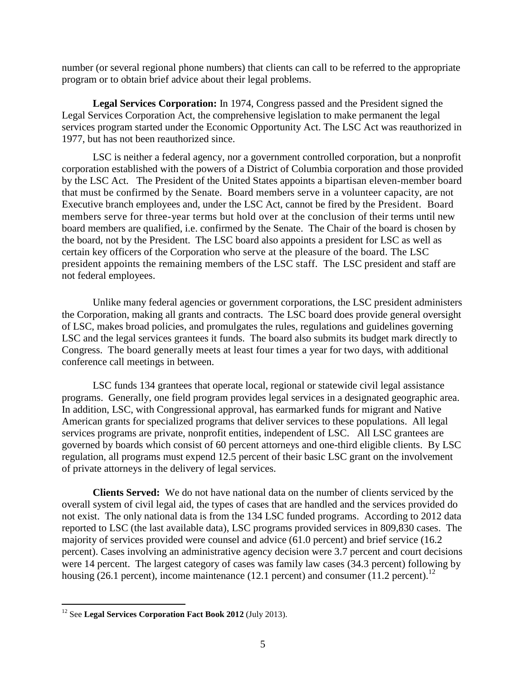number (or several regional phone numbers) that clients can call to be referred to the appropriate program or to obtain brief advice about their legal problems.

**Legal Services Corporation:** In 1974, Congress passed and the President signed the Legal Services Corporation Act, the comprehensive legislation to make permanent the legal services program started under the Economic Opportunity Act. The LSC Act was reauthorized in 1977, but has not been reauthorized since.

LSC is neither a federal agency, nor a government controlled corporation, but a nonprofit corporation established with the powers of a District of Columbia corporation and those provided by the LSC Act. The President of the United States appoints a bipartisan eleven-member board that must be confirmed by the Senate. Board members serve in a volunteer capacity, are not Executive branch employees and, under the LSC Act, cannot be fired by the President. Board members serve for three-year terms but hold over at the conclusion of their terms until new board members are qualified, i.e. confirmed by the Senate. The Chair of the board is chosen by the board, not by the President. The LSC board also appoints a president for LSC as well as certain key officers of the Corporation who serve at the pleasure of the board. The LSC president appoints the remaining members of the LSC staff. The LSC president and staff are not federal employees.

Unlike many federal agencies or government corporations, the LSC president administers the Corporation, making all grants and contracts. The LSC board does provide general oversight of LSC, makes broad policies, and promulgates the rules, regulations and guidelines governing LSC and the legal services grantees it funds. The board also submits its budget mark directly to Congress. The board generally meets at least four times a year for two days, with additional conference call meetings in between.

LSC funds 134 grantees that operate local, regional or statewide civil legal assistance programs. Generally, one field program provides legal services in a designated geographic area. In addition, LSC, with Congressional approval, has earmarked funds for migrant and Native American grants for specialized programs that deliver services to these populations. All legal services programs are private, nonprofit entities, independent of LSC. All LSC grantees are governed by boards which consist of 60 percent attorneys and one-third eligible clients. By LSC regulation, all programs must expend 12.5 percent of their basic LSC grant on the involvement of private attorneys in the delivery of legal services.

**Clients Served:** We do not have national data on the number of clients serviced by the overall system of civil legal aid, the types of cases that are handled and the services provided do not exist. The only national data is from the 134 LSC funded programs. According to 2012 data reported to LSC (the last available data), LSC programs provided services in 809,830 cases. The majority of services provided were counsel and advice (61.0 percent) and brief service (16.2 percent). Cases involving an administrative agency decision were 3.7 percent and court decisions were 14 percent. The largest category of cases was family law cases (34.3 percent) following by housing  $(26.1 \text{ percent})$ , income maintenance  $(12.1 \text{ percent})$  and consumer  $(11.2 \text{ percent})$ .<sup>12</sup>

<sup>12</sup> See **Legal Services Corporation Fact Book 2012** (July 2013).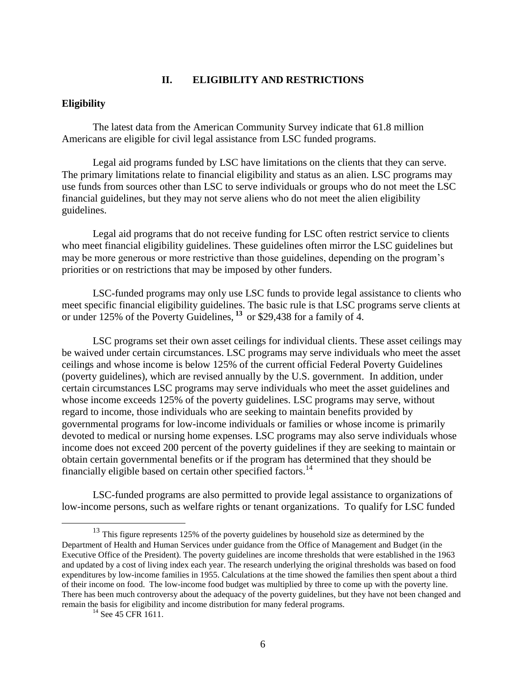## **II. ELIGIBILITY AND RESTRICTIONS**

#### **Eligibility**

The latest data from the American Community Survey indicate that 61.8 million Americans are eligible for civil legal assistance from LSC funded programs.

Legal aid programs funded by LSC have limitations on the clients that they can serve. The primary limitations relate to financial eligibility and status as an alien. LSC programs may use funds from sources other than LSC to serve individuals or groups who do not meet the LSC financial guidelines, but they may not serve aliens who do not meet the alien eligibility guidelines.

Legal aid programs that do not receive funding for LSC often restrict service to clients who meet financial eligibility guidelines. These guidelines often mirror the LSC guidelines but may be more generous or more restrictive than those guidelines, depending on the program's priorities or on restrictions that may be imposed by other funders.

LSC-funded programs may only use LSC funds to provide legal assistance to clients who meet specific financial eligibility guidelines. The basic rule is that LSC programs serve clients at or under 125% of the Poverty Guidelines, **<sup>13</sup>** or \$29,438 for a family of 4.

LSC programs set their own asset ceilings for individual clients. These asset ceilings may be waived under certain circumstances. LSC programs may serve individuals who meet the asset ceilings and whose income is below 125% of the current official Federal Poverty Guidelines (poverty guidelines), which are revised annually by the U.S. government. In addition, under certain circumstances LSC programs may serve individuals who meet the asset guidelines and whose income exceeds 125% of the poverty guidelines. LSC programs may serve, without regard to income, those individuals who are seeking to maintain benefits provided by governmental programs for low-income individuals or families or whose income is primarily devoted to medical or nursing home expenses. LSC programs may also serve individuals whose income does not exceed 200 percent of the poverty guidelines if they are seeking to maintain or obtain certain governmental benefits or if the program has determined that they should be financially eligible based on certain other specified factors.<sup>14</sup>

LSC-funded programs are also permitted to provide legal assistance to organizations of low-income persons, such as welfare rights or tenant organizations. To qualify for LSC funded

<sup>&</sup>lt;sup>13</sup> This figure represents 125% of the poverty guidelines by household size as determined by the Department of Health and Human Services under guidance from the Office of Management and Budget (in the Executive Office of the President). The poverty guidelines are income thresholds that were established in the 1963 and updated by a cost of living index each year. The research underlying the original thresholds was based on food expenditures by low-income families in 1955. Calculations at the time showed the families then spent about a third of their income on food. The low-income food budget was multiplied by three to come up with the poverty line. There has been much controversy about the adequacy of the poverty guidelines, but they have not been changed and remain the basis for eligibility and income distribution for many federal programs.

<sup>&</sup>lt;sup>14</sup> See 45 CFR 1611.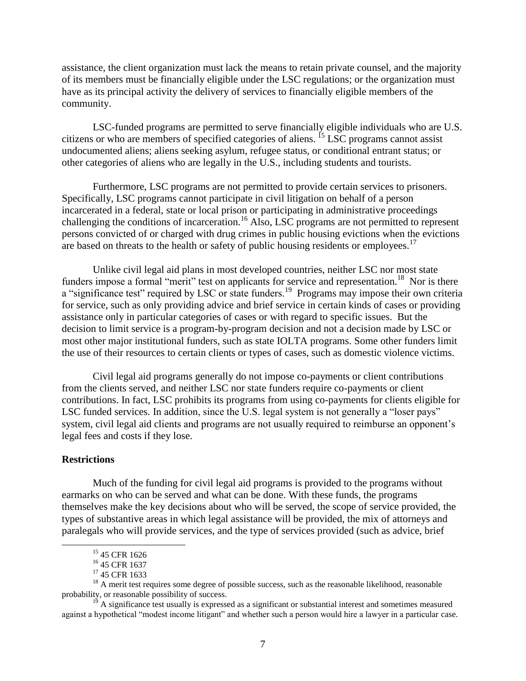assistance, the client organization must lack the means to retain private counsel, and the majority of its members must be financially eligible under the LSC regulations; or the organization must have as its principal activity the delivery of services to financially eligible members of the community.

LSC-funded programs are permitted to serve financially eligible individuals who are U.S. citizens or who are members of specified categories of aliens. <sup>15</sup> LSC programs cannot assist undocumented aliens; aliens seeking asylum, refugee status, or conditional entrant status; or other categories of aliens who are legally in the U.S., including students and tourists.

Furthermore, LSC programs are not permitted to provide certain services to prisoners. Specifically, LSC programs cannot participate in civil litigation on behalf of a person incarcerated in a federal, state or local prison or participating in administrative proceedings challenging the conditions of incarceration.<sup>16</sup> Also, LSC programs are not permitted to represent persons convicted of or charged with drug crimes in public housing evictions when the evictions are based on threats to the health or safety of public housing residents or employees.<sup>17</sup>

Unlike civil legal aid plans in most developed countries, neither LSC nor most state funders impose a formal "merit" test on applicants for service and representation.<sup>18</sup> Nor is there a "significance test" required by LSC or state funders.<sup>19</sup> Programs may impose their own criteria for service, such as only providing advice and brief service in certain kinds of cases or providing assistance only in particular categories of cases or with regard to specific issues. But the decision to limit service is a program-by-program decision and not a decision made by LSC or most other major institutional funders, such as state IOLTA programs. Some other funders limit the use of their resources to certain clients or types of cases, such as domestic violence victims.

Civil legal aid programs generally do not impose co-payments or client contributions from the clients served, and neither LSC nor state funders require co-payments or client contributions. In fact, LSC prohibits its programs from using co-payments for clients eligible for LSC funded services. In addition, since the U.S. legal system is not generally a "loser pays" system, civil legal aid clients and programs are not usually required to reimburse an opponent's legal fees and costs if they lose.

#### **Restrictions**

 $\overline{a}$ 

Much of the funding for civil legal aid programs is provided to the programs without earmarks on who can be served and what can be done. With these funds, the programs themselves make the key decisions about who will be served, the scope of service provided, the types of substantive areas in which legal assistance will be provided, the mix of attorneys and paralegals who will provide services, and the type of services provided (such as advice, brief

<sup>&</sup>lt;sup>15</sup> 45 CFR 1626

<sup>&</sup>lt;sup>16</sup> 45 CFR 1637

<sup>&</sup>lt;sup>17</sup> 45 CFR 1633

<sup>&</sup>lt;sup>18</sup> A merit test requires some degree of possible success, such as the reasonable likelihood, reasonable probability, or reasonable possibility of success.

<sup>&</sup>lt;sup>19</sup> A significance test usually is expressed as a significant or substantial interest and sometimes measured against a hypothetical "modest income litigant" and whether such a person would hire a lawyer in a particular case.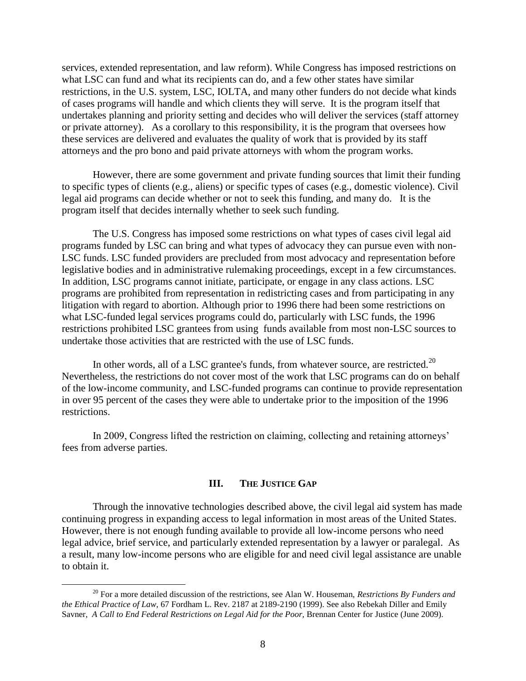services, extended representation, and law reform). While Congress has imposed restrictions on what LSC can fund and what its recipients can do, and a few other states have similar restrictions, in the U.S. system, LSC, IOLTA, and many other funders do not decide what kinds of cases programs will handle and which clients they will serve. It is the program itself that undertakes planning and priority setting and decides who will deliver the services (staff attorney or private attorney). As a corollary to this responsibility, it is the program that oversees how these services are delivered and evaluates the quality of work that is provided by its staff attorneys and the pro bono and paid private attorneys with whom the program works.

However, there are some government and private funding sources that limit their funding to specific types of clients (e.g., aliens) or specific types of cases (e.g., domestic violence). Civil legal aid programs can decide whether or not to seek this funding, and many do. It is the program itself that decides internally whether to seek such funding.

The U.S. Congress has imposed some restrictions on what types of cases civil legal aid programs funded by LSC can bring and what types of advocacy they can pursue even with non-LSC funds. LSC funded providers are precluded from most advocacy and representation before legislative bodies and in administrative rulemaking proceedings, except in a few circumstances. In addition, LSC programs cannot initiate, participate, or engage in any class actions. LSC programs are prohibited from representation in redistricting cases and from participating in any litigation with regard to abortion. Although prior to 1996 there had been some restrictions on what LSC-funded legal services programs could do, particularly with LSC funds, the 1996 restrictions prohibited LSC grantees from using funds available from most non-LSC sources to undertake those activities that are restricted with the use of LSC funds.

In other words, all of a LSC grantee's funds, from whatever source, are restricted.<sup>20</sup> Nevertheless, the restrictions do not cover most of the work that LSC programs can do on behalf of the low-income community, and LSC-funded programs can continue to provide representation in over 95 percent of the cases they were able to undertake prior to the imposition of the 1996 restrictions.

In 2009, Congress lifted the restriction on claiming, collecting and retaining attorneys' fees from adverse parties.

#### **III. THE JUSTICE GAP**

Through the innovative technologies described above, the civil legal aid system has made continuing progress in expanding access to legal information in most areas of the United States. However, there is not enough funding available to provide all low-income persons who need legal advice, brief service, and particularly extended representation by a lawyer or paralegal. As a result, many low-income persons who are eligible for and need civil legal assistance are unable to obtain it.

<sup>20</sup> For a more detailed discussion of the restrictions, see Alan W. Houseman, *Restrictions By Funders and the Ethical Practice of Law,* 67 Fordham L. Rev. 2187 at 2189-2190 (1999). See also Rebekah Diller and Emily Savner, *A Call to End Federal Restrictions on Legal Aid for the Poor*, Brennan Center for Justice (June 2009).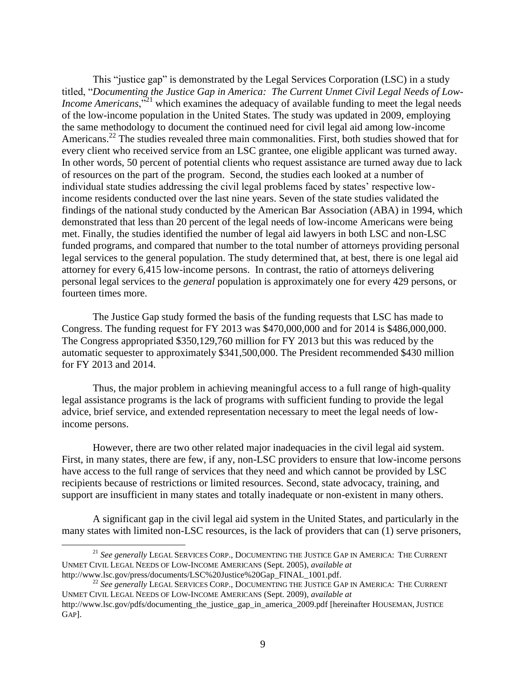This "justice gap" is demonstrated by the Legal Services Corporation (LSC) in a study titled, "*Documenting the Justice Gap in America: The Current Unmet Civil Legal Needs of Low-Income Americans*,<sup>521</sup> which examines the adequacy of available funding to meet the legal needs of the low-income population in the United States. The study was updated in 2009, employing the same methodology to document the continued need for civil legal aid among low-income Americans.<sup>22</sup> The studies revealed three main commonalities. First, both studies showed that for every client who received service from an LSC grantee, one eligible applicant was turned away. In other words, 50 percent of potential clients who request assistance are turned away due to lack of resources on the part of the program. Second, the studies each looked at a number of individual state studies addressing the civil legal problems faced by states' respective lowincome residents conducted over the last nine years. Seven of the state studies validated the findings of the national study conducted by the American Bar Association (ABA) in 1994, which demonstrated that less than 20 percent of the legal needs of low-income Americans were being met. Finally, the studies identified the number of legal aid lawyers in both LSC and non-LSC funded programs, and compared that number to the total number of attorneys providing personal legal services to the general population. The study determined that, at best, there is one legal aid attorney for every 6,415 low-income persons. In contrast, the ratio of attorneys delivering personal legal services to the *general* population is approximately one for every 429 persons, or fourteen times more.

The Justice Gap study formed the basis of the funding requests that LSC has made to Congress. The funding request for FY 2013 was \$470,000,000 and for 2014 is \$486,000,000. The Congress appropriated \$350,129,760 million for FY 2013 but this was reduced by the automatic sequester to approximately \$341,500,000. The President recommended \$430 million for FY 2013 and 2014.

Thus, the major problem in achieving meaningful access to a full range of high-quality legal assistance programs is the lack of programs with sufficient funding to provide the legal advice, brief service, and extended representation necessary to meet the legal needs of lowincome persons.

However, there are two other related major inadequacies in the civil legal aid system. First, in many states, there are few, if any, non-LSC providers to ensure that low-income persons have access to the full range of services that they need and which cannot be provided by LSC recipients because of restrictions or limited resources. Second, state advocacy, training, and support are insufficient in many states and totally inadequate or non-existent in many others.

A significant gap in the civil legal aid system in the United States, and particularly in the many states with limited non-LSC resources, is the lack of providers that can (1) serve prisoners,

<sup>21</sup> *See generally* LEGAL SERVICES CORP., DOCUMENTING THE JUSTICE GAP IN AMERICA: THE CURRENT UNMET CIVIL LEGAL NEEDS OF LOW-INCOME AMERICANS (Sept. 2005), *available at*  http://www.lsc.gov/press/documents/LSC%20Justice%20Gap\_FINAL\_1001.pdf.

<sup>22</sup> *See generally* LEGAL SERVICES CORP., DOCUMENTING THE JUSTICE GAP IN AMERICA: THE CURRENT UNMET CIVIL LEGAL NEEDS OF LOW-INCOME AMERICANS (Sept. 2009), *available at* http://www.lsc.gov/pdfs/documenting\_the\_justice\_gap\_in\_america\_2009.pdf [hereinafter HOUSEMAN, JUSTICE GAP].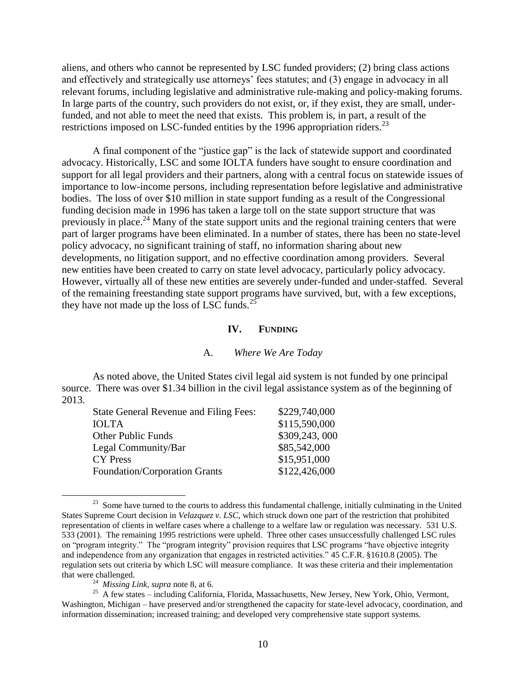aliens, and others who cannot be represented by LSC funded providers; (2) bring class actions and effectively and strategically use attorneys' fees statutes; and (3) engage in advocacy in all relevant forums, including legislative and administrative rule-making and policy-making forums. In large parts of the country, such providers do not exist, or, if they exist, they are small, underfunded, and not able to meet the need that exists. This problem is, in part, a result of the restrictions imposed on LSC-funded entities by the 1996 appropriation riders.<sup>23</sup>

A final component of the "justice gap" is the lack of statewide support and coordinated advocacy. Historically, LSC and some IOLTA funders have sought to ensure coordination and support for all legal providers and their partners, along with a central focus on statewide issues of importance to low-income persons, including representation before legislative and administrative bodies. The loss of over \$10 million in state support funding as a result of the Congressional funding decision made in 1996 has taken a large toll on the state support structure that was previously in place.<sup>24</sup> Many of the state support units and the regional training centers that were part of larger programs have been eliminated. In a number of states, there has been no state-level policy advocacy, no significant training of staff, no information sharing about new developments, no litigation support, and no effective coordination among providers. Several new entities have been created to carry on state level advocacy, particularly policy advocacy. However, virtually all of these new entities are severely under-funded and under-staffed. Several of the remaining freestanding state support programs have survived, but, with a few exceptions, they have not made up the loss of LSC funds. $^{25}$ 

#### **IV. FUNDING**

#### A. *Where We Are Today*

As noted above, the United States civil legal aid system is not funded by one principal source. There was over \$1.34 billion in the civil legal assistance system as of the beginning of 2013.

| <b>State General Revenue and Filing Fees:</b> | \$229,740,000 |
|-----------------------------------------------|---------------|
| <b>IOLTA</b>                                  | \$115,590,000 |
| <b>Other Public Funds</b>                     | \$309,243,000 |
| Legal Community/Bar                           | \$85,542,000  |
| <b>CY</b> Press                               | \$15,951,000  |
| Foundation/Corporation Grants                 | \$122,426,000 |

<sup>&</sup>lt;sup>23</sup> Some have turned to the courts to address this fundamental challenge, initially culminating in the United States Supreme Court decision in *Velazquez v. LSC*, which struck down one part of the restriction that prohibited representation of clients in welfare cases where a challenge to a welfare law or regulation was necessary. 531 U.S. 533 (2001). The remaining 1995 restrictions were upheld. Three other cases unsuccessfully challenged LSC rules on "program integrity." The "program integrity" provision requires that LSC programs "have objective integrity and independence from any organization that engages in restricted activities." 45 C.F.R. §1610.8 (2005). The regulation sets out criteria by which LSC will measure compliance. It was these criteria and their implementation that were challenged.

<sup>24</sup> *Missing Link*, *supra* note 8, at 6.

<sup>&</sup>lt;sup>25</sup> A few states – including California, Florida, Massachusetts, New Jersey, New York, Ohio, Vermont, Washington, Michigan – have preserved and/or strengthened the capacity for state-level advocacy, coordination, and information dissemination; increased training; and developed very comprehensive state support systems.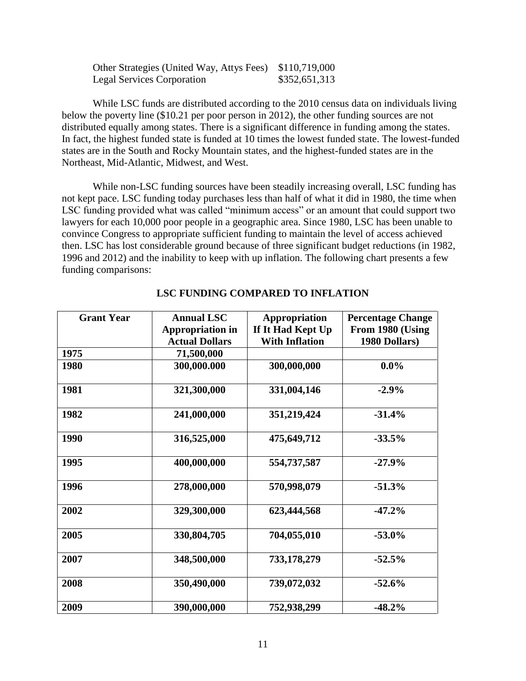| Other Strategies (United Way, Attys Fees) \$110,719,000 |               |
|---------------------------------------------------------|---------------|
| <b>Legal Services Corporation</b>                       | \$352,651,313 |

While LSC funds are distributed according to the 2010 census data on individuals living below the poverty line (\$10.21 per poor person in 2012), the other funding sources are not distributed equally among states. There is a significant difference in funding among the states. In fact, the highest funded state is funded at 10 times the lowest funded state. The lowest-funded states are in the South and Rocky Mountain states, and the highest-funded states are in the Northeast, Mid-Atlantic, Midwest, and West.

While non-LSC funding sources have been steadily increasing overall, LSC funding has not kept pace. LSC funding today purchases less than half of what it did in 1980, the time when LSC funding provided what was called "minimum access" or an amount that could support two lawyers for each 10,000 poor people in a geographic area. Since 1980, LSC has been unable to convince Congress to appropriate sufficient funding to maintain the level of access achieved then. LSC has lost considerable ground because of three significant budget reductions (in 1982, 1996 and 2012) and the inability to keep with up inflation. The following chart presents a few funding comparisons:

| <b>Grant Year</b> | <b>Annual LSC</b>       | <b>Appropriation</b>  | <b>Percentage Change</b> |
|-------------------|-------------------------|-----------------------|--------------------------|
|                   | <b>Appropriation in</b> | If It Had Kept Up     | From 1980 (Using         |
|                   | <b>Actual Dollars</b>   | <b>With Inflation</b> | 1980 Dollars)            |
| 1975              | 71,500,000              |                       |                          |
| 1980              | 300,000.000             | 300,000,000           | $0.0\%$                  |
| 1981              | 321,300,000             | 331,004,146           | $-2.9%$                  |
| 1982              | 241,000,000             | 351,219,424           | $-31.4%$                 |
| 1990              | 316,525,000             | 475,649,712           | $-33.5%$                 |
| 1995              | 400,000,000             | 554,737,587           | $-27.9%$                 |
| 1996              | 278,000,000             | 570,998,079           | $-51.3%$                 |
| 2002              | 329,300,000             | 623,444,568           | $-47.2%$                 |
| 2005              | 330,804,705             | 704,055,010           | $-53.0%$                 |
| 2007              | 348,500,000             | 733,178,279           | $-52.5%$                 |
| 2008              | 350,490,000             | 739,072,032           | $-52.6%$                 |
| 2009              | 390,000,000             | 752,938,299           | $-48.2%$                 |

## **LSC FUNDING COMPARED TO INFLATION**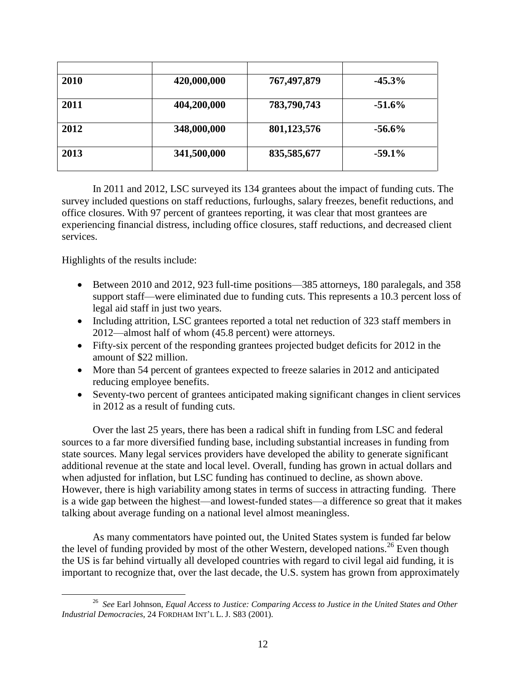| 2010 | 420,000,000 | 767,497,879 | $-45.3%$ |
|------|-------------|-------------|----------|
| 2011 | 404,200,000 | 783,790,743 | $-51.6%$ |
| 2012 | 348,000,000 | 801,123,576 | $-56.6%$ |
| 2013 | 341,500,000 | 835,585,677 | $-59.1%$ |

In 2011 and 2012, LSC surveyed its 134 grantees about the impact of funding cuts. The survey included questions on staff reductions, furloughs, salary freezes, benefit reductions, and office closures. With 97 percent of grantees reporting, it was clear that most grantees are experiencing financial distress, including office closures, staff reductions, and decreased client services.

Highlights of the results include:

- Between 2010 and 2012, 923 full-time positions—385 attorneys, 180 paralegals, and 358 support staff—were eliminated due to funding cuts. This represents a 10.3 percent loss of legal aid staff in just two years.
- Including attrition, LSC grantees reported a total net reduction of 323 staff members in 2012—almost half of whom (45.8 percent) were attorneys.
- Fifty-six percent of the responding grantees projected budget deficits for 2012 in the amount of \$22 million.
- More than 54 percent of grantees expected to freeze salaries in 2012 and anticipated reducing employee benefits.
- Seventy-two percent of grantees anticipated making significant changes in client services in 2012 as a result of funding cuts.

Over the last 25 years, there has been a radical shift in funding from LSC and federal sources to a far more diversified funding base, including substantial increases in funding from state sources. Many legal services providers have developed the ability to generate significant additional revenue at the state and local level. Overall, funding has grown in actual dollars and when adjusted for inflation, but LSC funding has continued to decline, as shown above. However, there is high variability among states in terms of success in attracting funding. There is a wide gap between the highest—and lowest-funded states—a difference so great that it makes talking about average funding on a national level almost meaningless.

As many commentators have pointed out, the United States system is funded far below the level of funding provided by most of the other Western, developed nations.<sup>26</sup> Even though the US is far behind virtually all developed countries with regard to civil legal aid funding, it is important to recognize that, over the last decade, the U.S. system has grown from approximately

 $\overline{a}$ <sup>26</sup> *See* Earl Johnson, *Equal Access to Justice: Comparing Access to Justice in the United States and Other Industrial Democracies*, 24 FORDHAM INT'L L. J. S83 (2001).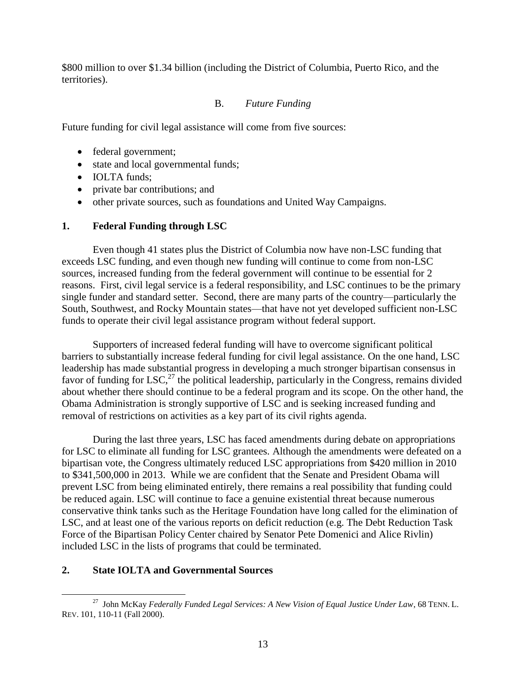\$800 million to over \$1.34 billion (including the District of Columbia, Puerto Rico, and the territories).

# B. *Future Funding*

Future funding for civil legal assistance will come from five sources:

- federal government;
- state and local governmental funds;
- **IOLTA** funds;
- private bar contributions; and
- other private sources, such as foundations and United Way Campaigns.

## **1. Federal Funding through LSC**

Even though 41 states plus the District of Columbia now have non-LSC funding that exceeds LSC funding, and even though new funding will continue to come from non-LSC sources, increased funding from the federal government will continue to be essential for 2 reasons. First, civil legal service is a federal responsibility, and LSC continues to be the primary single funder and standard setter. Second, there are many parts of the country—particularly the South, Southwest, and Rocky Mountain states—that have not yet developed sufficient non-LSC funds to operate their civil legal assistance program without federal support.

Supporters of increased federal funding will have to overcome significant political barriers to substantially increase federal funding for civil legal assistance. On the one hand, LSC leadership has made substantial progress in developing a much stronger bipartisan consensus in favor of funding for LSC,<sup>27</sup> the political leadership, particularly in the Congress, remains divided about whether there should continue to be a federal program and its scope. On the other hand, the Obama Administration is strongly supportive of LSC and is seeking increased funding and removal of restrictions on activities as a key part of its civil rights agenda.

During the last three years, LSC has faced amendments during debate on appropriations for LSC to eliminate all funding for LSC grantees. Although the amendments were defeated on a bipartisan vote, the Congress ultimately reduced LSC appropriations from \$420 million in 2010 to \$341,500,000 in 2013. While we are confident that the Senate and President Obama will prevent LSC from being eliminated entirely, there remains a real possibility that funding could be reduced again. LSC will continue to face a genuine existential threat because numerous conservative think tanks such as the Heritage Foundation have long called for the elimination of LSC, and at least one of the various reports on deficit reduction (e.g. The Debt Reduction Task Force of the Bipartisan Policy Center chaired by Senator Pete Domenici and Alice Rivlin) included LSC in the lists of programs that could be terminated.

## **2. State IOLTA and Governmental Sources**

 $\overline{a}$ 27 John McKay *Federally Funded Legal Services: A New Vision of Equal Justice Under Law*, 68 TENN. L. REV. 101, 110-11 (Fall 2000).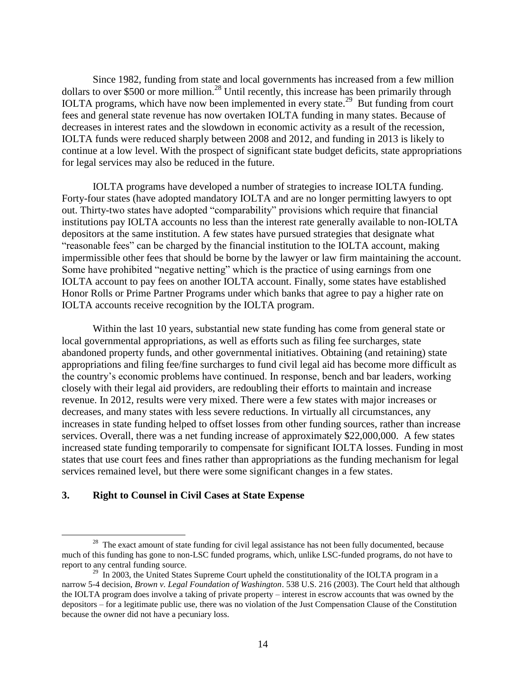Since 1982, funding from state and local governments has increased from a few million dollars to over \$500 or more million.<sup>28</sup> Until recently, this increase has been primarily through IOLTA programs, which have now been implemented in every state.<sup>29</sup> But funding from court fees and general state revenue has now overtaken IOLTA funding in many states. Because of decreases in interest rates and the slowdown in economic activity as a result of the recession, IOLTA funds were reduced sharply between 2008 and 2012, and funding in 2013 is likely to continue at a low level. With the prospect of significant state budget deficits, state appropriations for legal services may also be reduced in the future.

IOLTA programs have developed a number of strategies to increase IOLTA funding. Forty-four states (have adopted mandatory IOLTA and are no longer permitting lawyers to opt out. Thirty-two states have adopted "comparability" provisions which require that financial institutions pay IOLTA accounts no less than the interest rate generally available to non-IOLTA depositors at the same institution. A few states have pursued strategies that designate what "reasonable fees" can be charged by the financial institution to the IOLTA account, making impermissible other fees that should be borne by the lawyer or law firm maintaining the account. Some have prohibited "negative netting" which is the practice of using earnings from one IOLTA account to pay fees on another IOLTA account. Finally, some states have established Honor Rolls or Prime Partner Programs under which banks that agree to pay a higher rate on IOLTA accounts receive recognition by the IOLTA program.

Within the last 10 years, substantial new state funding has come from general state or local governmental appropriations, as well as efforts such as filing fee surcharges, state abandoned property funds, and other governmental initiatives. Obtaining (and retaining) state appropriations and filing fee/fine surcharges to fund civil legal aid has become more difficult as the country's economic problems have continued. In response, bench and bar leaders, working closely with their legal aid providers, are redoubling their efforts to maintain and increase revenue. In 2012, results were very mixed. There were a few states with major increases or decreases, and many states with less severe reductions. In virtually all circumstances, any increases in state funding helped to offset losses from other funding sources, rather than increase services. Overall, there was a net funding increase of approximately \$22,000,000. A few states increased state funding temporarily to compensate for significant IOLTA losses. Funding in most states that use court fees and fines rather than appropriations as the funding mechanism for legal services remained level, but there were some significant changes in a few states.

#### **3. Right to Counsel in Civil Cases at State Expense**

<sup>&</sup>lt;sup>28</sup> The exact amount of state funding for civil legal assistance has not been fully documented, because much of this funding has gone to non-LSC funded programs, which, unlike LSC-funded programs, do not have to report to any central funding source.

 $29$  In 2003, the United States Supreme Court upheld the constitutionality of the IOLTA program in a narrow 5-4 decision, *Brown v. Legal Foundation of Washington*. 538 U.S. 216 (2003). The Court held that although the IOLTA program does involve a taking of private property – interest in escrow accounts that was owned by the depositors – for a legitimate public use, there was no violation of the Just Compensation Clause of the Constitution because the owner did not have a pecuniary loss.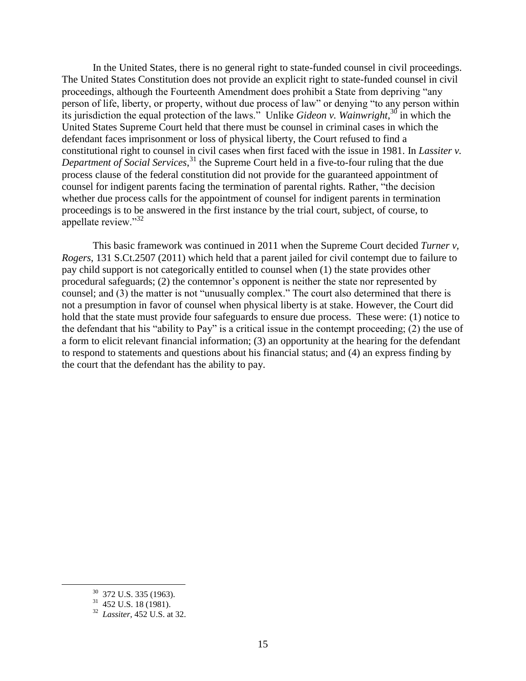In the United States, there is no general right to state-funded counsel in civil proceedings. The United States Constitution does not provide an explicit right to state-funded counsel in civil proceedings, although the Fourteenth Amendment does prohibit a State from depriving "any person of life, liberty, or property, without due process of law" or denying "to any person within its jurisdiction the equal protection of the laws." Unlike *Gideon v. Wainwright*, <sup>30</sup> in which the United States Supreme Court held that there must be counsel in criminal cases in which the defendant faces imprisonment or loss of physical liberty, the Court refused to find a constitutional right to counsel in civil cases when first faced with the issue in 1981. In *Lassiter v. Department of Social Services*, <sup>31</sup> the Supreme Court held in a five-to-four ruling that the due process clause of the federal constitution did not provide for the guaranteed appointment of counsel for indigent parents facing the termination of parental rights. Rather, "the decision whether due process calls for the appointment of counsel for indigent parents in termination proceedings is to be answered in the first instance by the trial court, subject, of course, to appellate review."<sup>32</sup>

This basic framework was continued in 2011 when the Supreme Court decided *Turner v, Rogers*, 131 S.Ct.2507 (2011) which held that a parent jailed for civil contempt due to failure to pay child support is not categorically entitled to counsel when (1) the state provides other procedural safeguards; (2) the contemnor's opponent is neither the state nor represented by counsel; and (3) the matter is not "unusually complex." The court also determined that there is not a presumption in favor of counsel when physical liberty is at stake. However, the Court did hold that the state must provide four safeguards to ensure due process. These were: (1) notice to the defendant that his "ability to Pay" is a critical issue in the contempt proceeding; (2) the use of a form to elicit relevant financial information; (3) an opportunity at the hearing for the defendant to respond to statements and questions about his financial status; and (4) an express finding by the court that the defendant has the ability to pay.

 $30$  372 U.S. 335 (1963).

 $31$  452 U.S. 18 (1981).

<sup>32</sup> *Lassiter*, 452 U.S. at 32.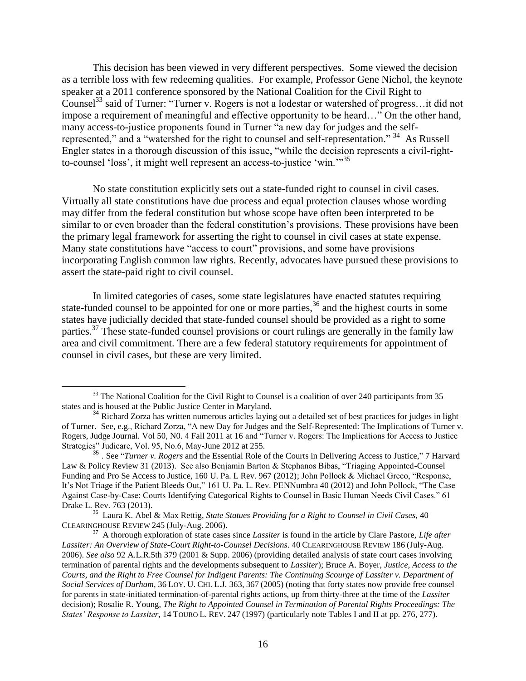This decision has been viewed in very different perspectives. Some viewed the decision as a terrible loss with few redeeming qualities. For example, Professor Gene Nichol, the keynote speaker at a 2011 conference sponsored by the National Coalition for the Civil Right to Counsel<sup>33</sup> said of Turner: "Turner v. Rogers is not a lodestar or watershed of progress... it did not impose a requirement of meaningful and effective opportunity to be heard…" On the other hand, many access-to-justice proponents found in Turner "a new day for judges and the selfrepresented," and a "watershed for the right to counsel and self-representation." <sup>34</sup> As Russell Engler states in a thorough discussion of this issue, "while the decision represents a civil-rightto-counsel 'loss', it might well represent an access-to-justice 'win.'"<sup>35</sup>

No state constitution explicitly sets out a state-funded right to counsel in civil cases. Virtually all state constitutions have due process and equal protection clauses whose wording may differ from the federal constitution but whose scope have often been interpreted to be similar to or even broader than the federal constitution's provisions. These provisions have been the primary legal framework for asserting the right to counsel in civil cases at state expense. Many state constitutions have "access to court" provisions, and some have provisions incorporating English common law rights. Recently, advocates have pursued these provisions to assert the state-paid right to civil counsel.

In limited categories of cases, some state legislatures have enacted statutes requiring state-funded counsel to be appointed for one or more parties,  $36$  and the highest courts in some states have judicially decided that state-funded counsel should be provided as a right to some parties.<sup>37</sup> These state-funded counsel provisions or court rulings are generally in the family law area and civil commitment. There are a few federal statutory requirements for appointment of counsel in civil cases, but these are very limited.

 $33$  The National Coalition for the Civil Right to Counsel is a coalition of over 240 participants from 35 states and is housed at the Public Justice Center in Maryland.

<sup>34</sup> Richard Zorza has written numerous articles laying out a detailed set of best practices for judges in light of Turner. See, e.g., Richard Zorza, "A new Day for Judges and the Self-Represented: The Implications of Turner v. Rogers, Judge Journal. Vol 50, N0. 4 Fall 2011 at 16 and "Turner v. Rogers: The Implications for Access to Justice Strategies" Judicare, Vol. 95, No.6, May-June 2012 at 255.

<sup>35</sup> . See "*Turner v. Rogers* and the Essential Role of the Courts in Delivering Access to Justice," 7 Harvard Law & Policy Review 31 (2013). See also Benjamin Barton & Stephanos Bibas, "Triaging Appointed-Counsel Funding and Pro Se Access to Justice, 160 U. Pa. L Rev. 967 (2012); John Pollock & Michael Greco, "Response, It's Not Triage if the Patient Bleeds Out," 161 U. Pa. L. Rev. PENNumbra 40 (2012) and John Pollock, "The Case Against Case-by-Case: Courts Identifying Categorical Rights to Counsel in Basic Human Needs Civil Cases." 61 Drake L. Rev. 763 (2013).

<sup>36</sup> Laura K. Abel & Max Rettig, *State Statues Providing for a Right to Counsel in Civil Cases*, 40 CLEARINGHOUSE REVIEW 245 (July-Aug. 2006).

<sup>37</sup> A thorough exploration of state cases since *Lassiter* is found in the article by Clare Pastore, *Life after Lassiter: An Overview of State-Court Right-to-Counsel Decisions*. 40 CLEARINGHOUSE REVIEW 186 (July-Aug. 2006). *See also* 92 A.L.R.5th 379 (2001 & Supp. 2006) (providing detailed analysis of state court cases involving termination of parental rights and the developments subsequent to *Lassiter*); Bruce A. Boyer, *Justice, Access to the Courts, and the Right to Free Counsel for Indigent Parents: The Continuing Scourge of Lassiter v. Department of Social Services of Durham*, 36 LOY. U. CHI. L.J. 363, 367 (2005) (noting that forty states now provide free counsel for parents in state-initiated termination-of-parental rights actions, up from thirty-three at the time of the *Lassiter*  decision); Rosalie R. Young, *The Right to Appointed Counsel in Termination of Parental Rights Proceedings: The States' Response to Lassiter*, 14 TOURO L. REV. 247 (1997) (particularly note Tables I and II at pp. 276, 277).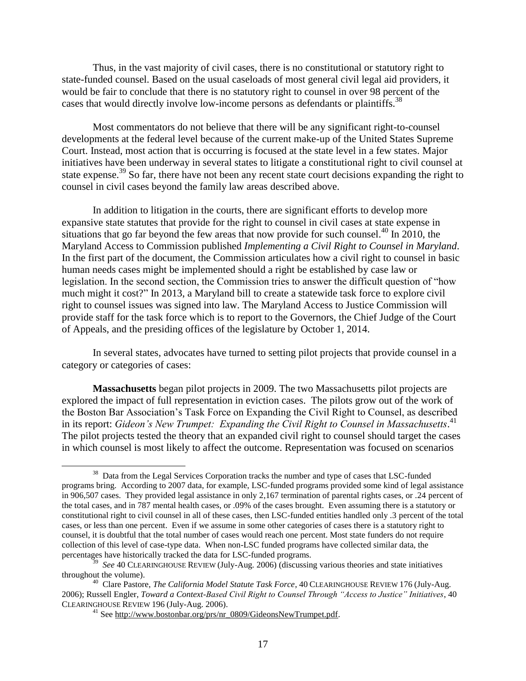Thus, in the vast majority of civil cases, there is no constitutional or statutory right to state-funded counsel. Based on the usual caseloads of most general civil legal aid providers, it would be fair to conclude that there is no statutory right to counsel in over 98 percent of the cases that would directly involve low-income persons as defendants or plaintiffs.<sup>38</sup>

Most commentators do not believe that there will be any significant right-to-counsel developments at the federal level because of the current make-up of the United States Supreme Court. Instead, most action that is occurring is focused at the state level in a few states. Major initiatives have been underway in several states to litigate a constitutional right to civil counsel at state expense.<sup>39</sup> So far, there have not been any recent state court decisions expanding the right to counsel in civil cases beyond the family law areas described above.

In addition to litigation in the courts, there are significant efforts to develop more expansive state statutes that provide for the right to counsel in civil cases at state expense in situations that go far beyond the few areas that now provide for such counsel.<sup>40</sup> In 2010, the Maryland Access to Commission published *Implementing a Civil Right to Counsel in Maryland*. In the first part of the document, the Commission articulates how a civil right to counsel in basic human needs cases might be implemented should a right be established by case law or legislation. In the second section, the Commission tries to answer the difficult question of "how much might it cost?" In 2013, a Maryland bill to create a statewide task force to explore civil right to counsel issues was signed into law. The Maryland Access to Justice Commission will provide staff for the task force which is to report to the Governors, the Chief Judge of the Court of Appeals, and the presiding offices of the legislature by October 1, 2014.

In several states, advocates have turned to setting pilot projects that provide counsel in a category or categories of cases:

**Massachusetts** began pilot projects in 2009. The two Massachusetts pilot projects are explored the impact of full representation in eviction cases. The pilots grow out of the work of the Boston Bar Association's Task Force on Expanding the Civil Right to Counsel, as described in its report: *Gideon's New Trumpet: Expanding the Civil Right to Counsel in Massachusetts*. 41 The pilot projects tested the theory that an expanded civil right to counsel should target the cases in which counsel is most likely to affect the outcome. Representation was focused on scenarios

 $\overline{a}$ <sup>38</sup> Data from the Legal Services Corporation tracks the number and type of cases that LSC-funded programs bring. According to 2007 data, for example, LSC-funded programs provided some kind of legal assistance in 906,507 cases. They provided legal assistance in only 2,167 termination of parental rights cases, or .24 percent of the total cases, and in 787 mental health cases, or .09% of the cases brought. Even assuming there is a statutory or constitutional right to civil counsel in all of these cases, then LSC-funded entities handled only .3 percent of the total cases, or less than one percent. Even if we assume in some other categories of cases there is a statutory right to counsel, it is doubtful that the total number of cases would reach one percent. Most state funders do not require collection of this level of case-type data. When non-LSC funded programs have collected similar data, the percentages have historically tracked the data for LSC-funded programs.

<sup>39</sup> *See* 40 CLEARINGHOUSE REVIEW (July-Aug. 2006) (discussing various theories and state initiatives throughout the volume).

<sup>40</sup> Clare Pastore, *The California Model Statute Task Force*, 40 CLEARINGHOUSE REVIEW 176 (July-Aug. 2006); Russell Engler, *Toward a Context-Based Civil Right to Counsel Through "Access to Justice" Initiatives*, 40 CLEARINGHOUSE REVIEW 196 (July-Aug. 2006).

<sup>&</sup>lt;sup>41</sup> See http://www.bostonbar.org/prs/nr\_0809/GideonsNewTrumpet.pdf.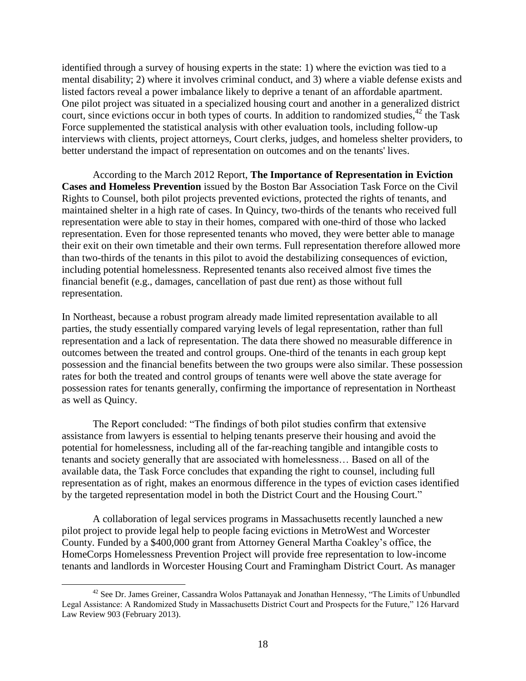identified through a survey of housing experts in the state: 1) where the eviction was tied to a mental disability; 2) where it involves criminal conduct, and 3) where a viable defense exists and listed factors reveal a power imbalance likely to deprive a tenant of an affordable apartment. One pilot project was situated in a specialized housing court and another in a generalized district court, since evictions occur in both types of courts. In addition to randomized studies,  $42$  the Task Force supplemented the statistical analysis with other evaluation tools, including follow-up interviews with clients, project attorneys, Court clerks, judges, and homeless shelter providers, to better understand the impact of representation on outcomes and on the tenants' lives.

According to the March 2012 Report, **The Importance of Representation in Eviction Cases and Homeless Prevention** issued by the Boston Bar Association Task Force on the Civil Rights to Counsel, both pilot projects prevented evictions, protected the rights of tenants, and maintained shelter in a high rate of cases. In Quincy, two-thirds of the tenants who received full representation were able to stay in their homes, compared with one-third of those who lacked representation. Even for those represented tenants who moved, they were better able to manage their exit on their own timetable and their own terms. Full representation therefore allowed more than two-thirds of the tenants in this pilot to avoid the destabilizing consequences of eviction, including potential homelessness. Represented tenants also received almost five times the financial benefit (e.g., damages, cancellation of past due rent) as those without full representation.

In Northeast, because a robust program already made limited representation available to all parties, the study essentially compared varying levels of legal representation, rather than full representation and a lack of representation. The data there showed no measurable difference in outcomes between the treated and control groups. One-third of the tenants in each group kept possession and the financial benefits between the two groups were also similar. These possession rates for both the treated and control groups of tenants were well above the state average for possession rates for tenants generally, confirming the importance of representation in Northeast as well as Quincy.

The Report concluded: "The findings of both pilot studies confirm that extensive assistance from lawyers is essential to helping tenants preserve their housing and avoid the potential for homelessness, including all of the far-reaching tangible and intangible costs to tenants and society generally that are associated with homelessness… Based on all of the available data, the Task Force concludes that expanding the right to counsel, including full representation as of right, makes an enormous difference in the types of eviction cases identified by the targeted representation model in both the District Court and the Housing Court."

A collaboration of legal services programs in Massachusetts recently launched a new pilot project to provide legal help to people facing evictions in MetroWest and Worcester County. Funded by a \$400,000 grant from Attorney General Martha Coakley's office, the HomeCorps Homelessness Prevention Project will provide free representation to low-income tenants and landlords in Worcester Housing Court and Framingham District Court. As manager

 $\overline{a}$  $42$  See Dr. James Greiner, Cassandra Wolos Pattanayak and Jonathan Hennessy, "The Limits of Unbundled Legal Assistance: A Randomized Study in Massachusetts District Court and Prospects for the Future," 126 Harvard Law Review 903 (February 2013).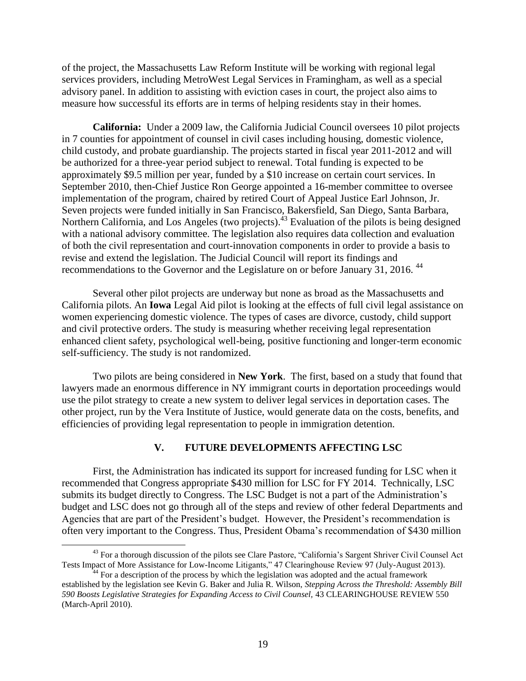of the project, the Massachusetts Law Reform Institute will be working with regional legal services providers, including MetroWest Legal Services in Framingham, as well as a special advisory panel. In addition to assisting with eviction cases in court, the project also aims to measure how successful its efforts are in terms of helping residents stay in their homes.

**California:** Under a 2009 law, the California Judicial Council oversees 10 pilot projects in 7 counties for appointment of counsel in civil cases including housing, domestic violence, child custody, and probate guardianship. The projects started in fiscal year 2011-2012 and will be authorized for a three-year period subject to renewal. Total funding is expected to be approximately \$9.5 million per year, funded by a \$10 increase on certain court services. In September 2010, then-Chief Justice Ron George appointed a 16-member committee to oversee implementation of the program, chaired by retired Court of Appeal Justice Earl Johnson, Jr. Seven projects were funded initially in San Francisco, Bakersfield, San Diego, Santa Barbara, Northern California, and Los Angeles (two projects).<sup>43</sup> Evaluation of the pilots is being designed with a national advisory committee. The legislation also requires data collection and evaluation of both the civil representation and court-innovation components in order to provide a basis to revise and extend the legislation. The Judicial Council will report its findings and recommendations to the Governor and the Legislature on or before January 31, 2016.<sup>44</sup>

Several other pilot projects are underway but none as broad as the Massachusetts and California pilots. An **Iowa** Legal Aid pilot is looking at the effects of full civil legal assistance on women experiencing domestic violence. The types of cases are divorce, custody, child support and civil protective orders. The study is measuring whether receiving legal representation enhanced client safety, psychological well-being, positive functioning and longer-term economic self-sufficiency. The study is not randomized.

Two pilots are being considered in **New York**. The first, based on a study that found that lawyers made an enormous difference in NY immigrant courts in deportation proceedings would use the pilot strategy to create a new system to deliver legal services in deportation cases. The other project, run by the Vera Institute of Justice, would generate data on the costs, benefits, and efficiencies of providing legal representation to people in immigration detention.

## **V. FUTURE DEVELOPMENTS AFFECTING LSC**

First, the Administration has indicated its support for increased funding for LSC when it recommended that Congress appropriate \$430 million for LSC for FY 2014. Technically, LSC submits its budget directly to Congress. The LSC Budget is not a part of the Administration's budget and LSC does not go through all of the steps and review of other federal Departments and Agencies that are part of the President's budget. However, the President's recommendation is often very important to the Congress. Thus, President Obama's recommendation of \$430 million

<sup>&</sup>lt;sup>43</sup> For a thorough discussion of the pilots see Clare Pastore, "California's Sargent Shriver Civil Counsel Act Tests Impact of More Assistance for Low-Income Litigants," 47 Clearinghouse Review 97 (July-August 2013).

 $44$  For a description of the process by which the legislation was adopted and the actual framework established by the legislation see Kevin G. Baker and Julia R. Wilson, *Stepping Across the Threshold: Assembly Bill 590 Boosts Legislative Strategies for Expanding Access to Civil Counsel,* 43 CLEARINGHOUSE REVIEW 550 (March-April 2010).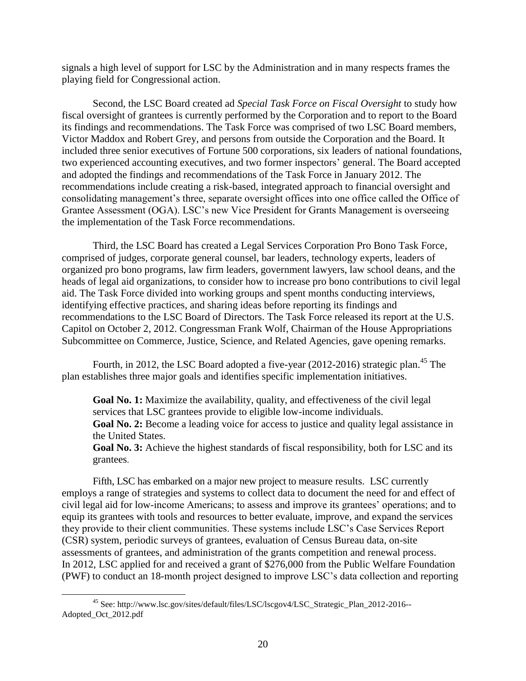signals a high level of support for LSC by the Administration and in many respects frames the playing field for Congressional action.

Second, the LSC Board created ad *Special Task Force on Fiscal Oversight* to study how fiscal oversight of grantees is currently performed by the Corporation and to report to the Board its findings and recommendations. The Task Force was comprised of two LSC Board members, Victor Maddox and Robert Grey, and persons from outside the Corporation and the Board. It included three senior executives of Fortune 500 corporations, six leaders of national foundations, two experienced accounting executives, and two former inspectors' general. The Board accepted and adopted the findings and recommendations of the Task Force in January 2012. The recommendations include creating a risk-based, integrated approach to financial oversight and consolidating management's three, separate oversight offices into one office called the Office of Grantee Assessment (OGA). LSC's new Vice President for Grants Management is overseeing the implementation of the Task Force recommendations.

Third, the LSC Board has created a Legal Services Corporation Pro Bono Task Force, comprised of judges, corporate general counsel, bar leaders, technology experts, leaders of organized pro bono programs, law firm leaders, government lawyers, law school deans, and the heads of legal aid organizations, to consider how to increase pro bono contributions to civil legal aid. The Task Force divided into working groups and spent months conducting interviews, identifying effective practices, and sharing ideas before reporting its findings and recommendations to the LSC Board of Directors. The Task Force released its report at the U.S. Capitol on October 2, 2012. Congressman Frank Wolf, Chairman of the House Appropriations Subcommittee on Commerce, Justice, Science, and Related Agencies, gave opening remarks.

Fourth, in 2012, the LSC Board adopted a five-year  $(2012-2016)$  strategic plan.<sup>45</sup> The plan establishes three major goals and identifies specific implementation initiatives.

**Goal No. 1:** Maximize the availability, quality, and effectiveness of the civil legal services that LSC grantees provide to eligible low-income individuals.

**Goal No. 2:** Become a leading voice for access to justice and quality legal assistance in the United States.

**Goal No. 3:** Achieve the highest standards of fiscal responsibility, both for LSC and its grantees.

Fifth, LSC has embarked on a major new project to measure results. LSC currently employs a range of strategies and systems to collect data to document the need for and effect of civil legal aid for low-income Americans; to assess and improve its grantees' operations; and to equip its grantees with tools and resources to better evaluate, improve, and expand the services they provide to their client communities. These systems include LSC's Case Services Report (CSR) system, periodic surveys of grantees, evaluation of Census Bureau data, on-site assessments of grantees, and administration of the grants competition and renewal process. In 2012, LSC applied for and received a grant of \$276,000 from the Public Welfare Foundation (PWF) to conduct an 18-month project designed to improve LSC's data collection and reporting

<sup>45</sup> See: http://www.lsc.gov/sites/default/files/LSC/lscgov4/LSC\_Strategic\_Plan\_2012-2016-- Adopted\_Oct\_2012.pdf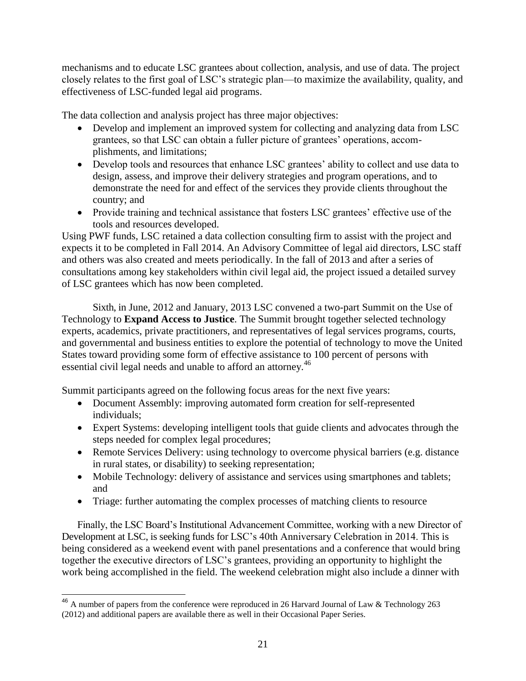mechanisms and to educate LSC grantees about collection, analysis, and use of data. The project closely relates to the first goal of LSC's strategic plan—to maximize the availability, quality, and effectiveness of LSC-funded legal aid programs.

The data collection and analysis project has three major objectives:

- Develop and implement an improved system for collecting and analyzing data from LSC grantees, so that LSC can obtain a fuller picture of grantees' operations, accomplishments, and limitations;
- Develop tools and resources that enhance LSC grantees' ability to collect and use data to design, assess, and improve their delivery strategies and program operations, and to demonstrate the need for and effect of the services they provide clients throughout the country; and
- Provide training and technical assistance that fosters LSC grantees' effective use of the tools and resources developed.

Using PWF funds, LSC retained a data collection consulting firm to assist with the project and expects it to be completed in Fall 2014. An Advisory Committee of legal aid directors, LSC staff and others was also created and meets periodically. In the fall of 2013 and after a series of consultations among key stakeholders within civil legal aid, the project issued a detailed survey of LSC grantees which has now been completed.

Sixth, in June, 2012 and January, 2013 LSC convened a two-part Summit on the Use of Technology to **Expand Access to Justice**. The Summit brought together selected technology experts, academics, private practitioners, and representatives of legal services programs, courts, and governmental and business entities to explore the potential of technology to move the United States toward providing some form of effective assistance to 100 percent of persons with essential civil legal needs and unable to afford an attorney.<sup>46</sup>

Summit participants agreed on the following focus areas for the next five years:

- Document Assembly: improving automated form creation for self-represented individuals;
- Expert Systems: developing intelligent tools that guide clients and advocates through the steps needed for complex legal procedures;
- Remote Services Delivery: using technology to overcome physical barriers (e.g. distance in rural states, or disability) to seeking representation;
- Mobile Technology: delivery of assistance and services using smartphones and tablets; and
- Triage: further automating the complex processes of matching clients to resource

Finally, the LSC Board's Institutional Advancement Committee, working with a new Director of Development at LSC, is seeking funds for LSC's 40th Anniversary Celebration in 2014. This is being considered as a weekend event with panel presentations and a conference that would bring together the executive directors of LSC's grantees, providing an opportunity to highlight the work being accomplished in the field. The weekend celebration might also include a dinner with

<sup>&</sup>lt;sup>46</sup> A number of papers from the conference were reproduced in 26 Harvard Journal of Law & Technology 263 (2012) and additional papers are available there as well in their Occasional Paper Series.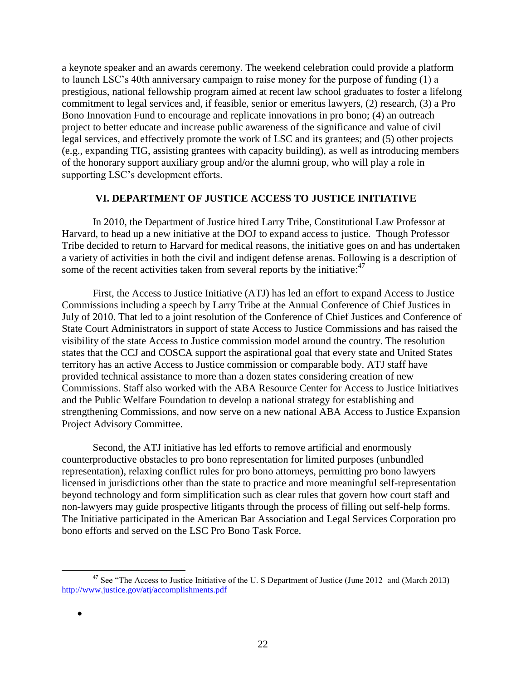a keynote speaker and an awards ceremony. The weekend celebration could provide a platform to launch LSC's 40th anniversary campaign to raise money for the purpose of funding (1) a prestigious, national fellowship program aimed at recent law school graduates to foster a lifelong commitment to legal services and, if feasible, senior or emeritus lawyers, (2) research, (3) a Pro Bono Innovation Fund to encourage and replicate innovations in pro bono; (4) an outreach project to better educate and increase public awareness of the significance and value of civil legal services, and effectively promote the work of LSC and its grantees; and (5) other projects (e.g., expanding TIG, assisting grantees with capacity building), as well as introducing members of the honorary support auxiliary group and/or the alumni group, who will play a role in supporting LSC's development efforts.

## **VI. DEPARTMENT OF JUSTICE ACCESS TO JUSTICE INITIATIVE**

In 2010, the Department of Justice hired Larry Tribe, Constitutional Law Professor at Harvard, to head up a new initiative at the DOJ to expand access to justice. Though Professor Tribe decided to return to Harvard for medical reasons, the initiative goes on and has undertaken a variety of activities in both the civil and indigent defense arenas. Following is a description of some of the recent activities taken from several reports by the initiative:<sup>47</sup>

First, the Access to Justice Initiative (ATJ) has led an effort to expand Access to Justice Commissions including a speech by Larry Tribe at the Annual Conference of Chief Justices in July of 2010. That led to a joint resolution of the Conference of Chief Justices and Conference of State Court Administrators in support of state Access to Justice Commissions and has raised the visibility of the state Access to Justice commission model around the country. The resolution states that the CCJ and COSCA support the aspirational goal that every state and United States territory has an active Access to Justice commission or comparable body. ATJ staff have provided technical assistance to more than a dozen states considering creation of new Commissions. Staff also worked with the ABA Resource Center for Access to Justice Initiatives and the Public Welfare Foundation to develop a national strategy for establishing and strengthening Commissions, and now serve on a new national ABA Access to Justice Expansion Project Advisory Committee.

Second, the ATJ initiative has led efforts to remove artificial and enormously counterproductive obstacles to pro bono representation for limited purposes (unbundled representation), relaxing conflict rules for pro bono attorneys, permitting pro bono lawyers licensed in jurisdictions other than the state to practice and more meaningful self-representation beyond technology and form simplification such as clear rules that govern how court staff and non-lawyers may guide prospective litigants through the process of filling out self-help forms. The Initiative participated in the American Bar Association and Legal Services Corporation pro bono efforts and served on the LSC Pro Bono Task Force.

<sup>&</sup>lt;sup>47</sup> See "The Access to Justice Initiative of the U. S Department of Justice (June 2012 and (March 2013) <http://www.justice.gov/atj/accomplishments.pdf>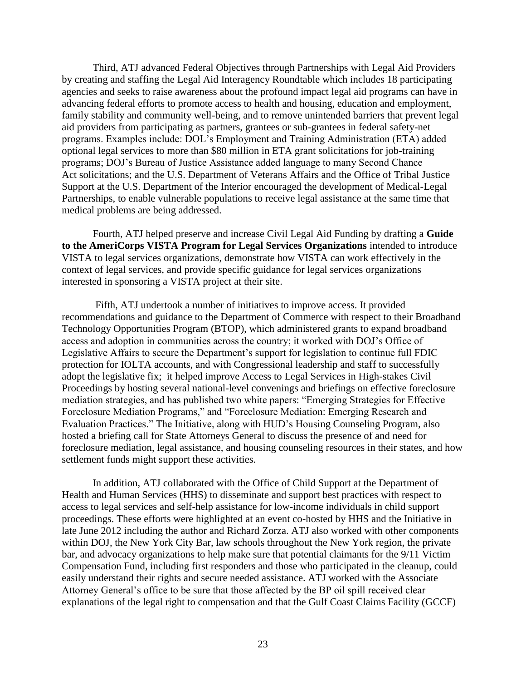Third, ATJ advanced Federal Objectives through Partnerships with Legal Aid Providers by creating and staffing the Legal Aid Interagency Roundtable which includes 18 participating agencies and seeks to raise awareness about the profound impact legal aid programs can have in advancing federal efforts to promote access to health and housing, education and employment, family stability and community well-being, and to remove unintended barriers that prevent legal aid providers from participating as partners, grantees or sub-grantees in federal safety-net programs. Examples include: DOL's Employment and Training Administration (ETA) added optional legal services to more than \$80 million in ETA grant solicitations for job-training programs; DOJ's Bureau of Justice Assistance added language to many Second Chance Act solicitations; and the U.S. Department of Veterans Affairs and the Office of Tribal Justice Support at the U.S. Department of the Interior encouraged the development of Medical-Legal Partnerships, to enable vulnerable populations to receive legal assistance at the same time that medical problems are being addressed.

Fourth, ATJ helped preserve and increase Civil Legal Aid Funding by drafting a **Guide to the AmeriCorps VISTA Program for Legal Services Organizations** intended to introduce VISTA to legal services organizations, demonstrate how VISTA can work effectively in the context of legal services, and provide specific guidance for legal services organizations interested in sponsoring a VISTA project at their site.

Fifth, ATJ undertook a number of initiatives to improve access. It provided recommendations and guidance to the Department of Commerce with respect to their Broadband Technology Opportunities Program (BTOP), which administered grants to expand broadband access and adoption in communities across the country; it worked with DOJ's Office of Legislative Affairs to secure the Department's support for legislation to continue full FDIC protection for IOLTA accounts, and with Congressional leadership and staff to successfully adopt the legislative fix; it helped improve Access to Legal Services in High-stakes Civil Proceedings by hosting several national-level convenings and briefings on effective foreclosure mediation strategies, and has published two white papers: "Emerging Strategies for Effective Foreclosure Mediation Programs," and "Foreclosure Mediation: Emerging Research and Evaluation Practices." The Initiative, along with HUD's Housing Counseling Program, also hosted a briefing call for State Attorneys General to discuss the presence of and need for foreclosure mediation, legal assistance, and housing counseling resources in their states, and how settlement funds might support these activities.

In addition, ATJ collaborated with the Office of Child Support at the Department of Health and Human Services (HHS) to disseminate and support best practices with respect to access to legal services and self-help assistance for low-income individuals in child support proceedings. These efforts were highlighted at an event co-hosted by HHS and the Initiative in late June 2012 including the author and Richard Zorza. ATJ also worked with other components within DOJ, the New York City Bar, law schools throughout the New York region, the private bar, and advocacy organizations to help make sure that potential claimants for the 9/11 Victim Compensation Fund, including first responders and those who participated in the cleanup, could easily understand their rights and secure needed assistance. ATJ worked with the Associate Attorney General's office to be sure that those affected by the BP oil spill received clear explanations of the legal right to compensation and that the Gulf Coast Claims Facility (GCCF)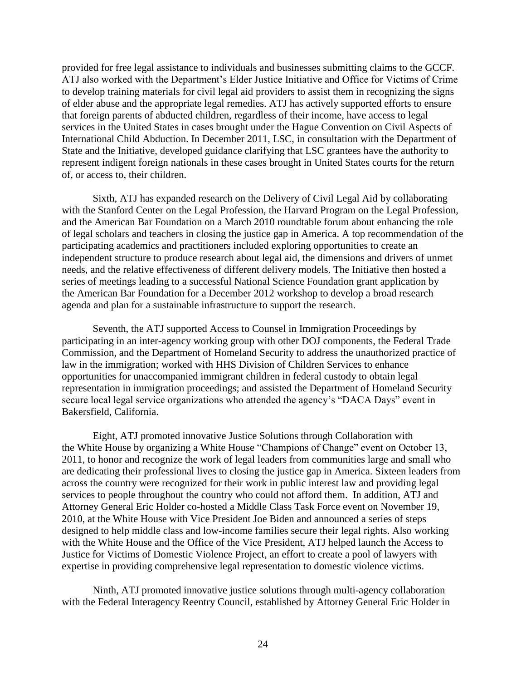provided for free legal assistance to individuals and businesses submitting claims to the GCCF. ATJ also worked with the Department's Elder Justice Initiative and Office for Victims of Crime to develop training materials for civil legal aid providers to assist them in recognizing the signs of elder abuse and the appropriate legal remedies. ATJ has actively supported efforts to ensure that foreign parents of abducted children, regardless of their income, have access to legal services in the United States in cases brought under the Hague Convention on Civil Aspects of International Child Abduction. In December 2011, LSC, in consultation with the Department of State and the Initiative, developed guidance clarifying that LSC grantees have the authority to represent indigent foreign nationals in these cases brought in United States courts for the return of, or access to, their children.

Sixth, ATJ has expanded research on the Delivery of Civil Legal Aid by collaborating with the Stanford Center on the Legal Profession, the Harvard Program on the Legal Profession, and the American Bar Foundation on a March 2010 roundtable forum about enhancing the role of legal scholars and teachers in closing the justice gap in America. A top recommendation of the participating academics and practitioners included exploring opportunities to create an independent structure to produce research about legal aid, the dimensions and drivers of unmet needs, and the relative effectiveness of different delivery models. The Initiative then hosted a series of meetings leading to a successful National Science Foundation grant application by the American Bar Foundation for a December 2012 workshop to develop a broad research agenda and plan for a sustainable infrastructure to support the research.

Seventh, the ATJ supported Access to Counsel in Immigration Proceedings by participating in an inter-agency working group with other DOJ components, the Federal Trade Commission, and the Department of Homeland Security to address the unauthorized practice of law in the immigration; worked with HHS Division of Children Services to enhance opportunities for unaccompanied immigrant children in federal custody to obtain legal representation in immigration proceedings; and assisted the Department of Homeland Security secure local legal service organizations who attended the agency's "DACA Days" event in Bakersfield, California.

Eight, ATJ promoted innovative Justice Solutions through Collaboration with the White House by organizing a White House "Champions of Change" event on October 13, 2011, to honor and recognize the work of legal leaders from communities large and small who are dedicating their professional lives to closing the justice gap in America. Sixteen leaders from across the country were recognized for their work in public interest law and providing legal services to people throughout the country who could not afford them. In addition, ATJ and Attorney General Eric Holder co-hosted a Middle Class Task Force event on November 19, 2010, at the White House with Vice President Joe Biden and announced a series of steps designed to help middle class and low-income families secure their legal rights. Also working with the White House and the Office of the Vice President, ATJ helped launch the Access to Justice for Victims of Domestic Violence Project, an effort to create a pool of lawyers with expertise in providing comprehensive legal representation to domestic violence victims.

Ninth, ATJ promoted innovative justice solutions through multi-agency collaboration with the Federal Interagency Reentry Council, established by Attorney General Eric Holder in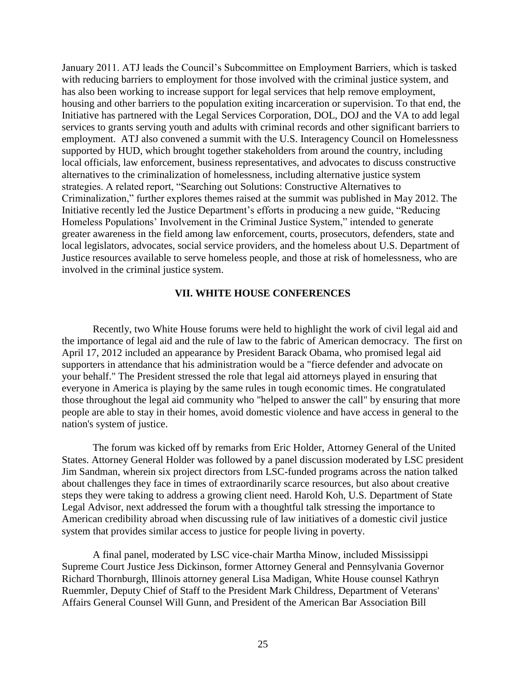January 2011. ATJ leads the Council's Subcommittee on Employment Barriers, which is tasked with reducing barriers to employment for those involved with the criminal justice system, and has also been working to increase support for legal services that help remove employment, housing and other barriers to the population exiting incarceration or supervision. To that end, the Initiative has partnered with the Legal Services Corporation, DOL, DOJ and the VA to add legal services to grants serving youth and adults with criminal records and other significant barriers to employment. ATJ also convened a summit with the U.S. Interagency Council on Homelessness supported by HUD, which brought together stakeholders from around the country, including local officials, law enforcement, business representatives, and advocates to discuss constructive alternatives to the criminalization of homelessness, including alternative justice system strategies. A related report, "Searching out Solutions: Constructive Alternatives to Criminalization," further explores themes raised at the summit was published in May 2012. The Initiative recently led the Justice Department's efforts in producing a new guide, "Reducing Homeless Populations' Involvement in the Criminal Justice System," intended to generate greater awareness in the field among law enforcement, courts, prosecutors, defenders, state and local legislators, advocates, social service providers, and the homeless about U.S. Department of Justice resources available to serve homeless people, and those at risk of homelessness, who are involved in the criminal justice system.

#### **VII. WHITE HOUSE CONFERENCES**

Recently, two White House forums were held to highlight the work of civil legal aid and the importance of legal aid and the rule of law to the fabric of American democracy. The first on April 17, 2012 included an appearance by President Barack Obama, who promised legal aid supporters in attendance that his administration would be a "fierce defender and advocate on your behalf." The President stressed the role that legal aid attorneys played in ensuring that everyone in America is playing by the same rules in tough economic times. He congratulated those throughout the legal aid community who "helped to answer the call" by ensuring that more people are able to stay in their homes, avoid domestic violence and have access in general to the nation's system of justice.

The forum was kicked off by remarks from Eric Holder, Attorney General of the United States. Attorney General Holder was followed by a panel discussion moderated by LSC president Jim Sandman, wherein six project directors from LSC-funded programs across the nation talked about challenges they face in times of extraordinarily scarce resources, but also about creative steps they were taking to address a growing client need. Harold Koh, U.S. Department of State Legal Advisor, next addressed the forum with a thoughtful talk stressing the importance to American credibility abroad when discussing rule of law initiatives of a domestic civil justice system that provides similar access to justice for people living in poverty.

A final panel, moderated by LSC vice-chair Martha Minow, included Mississippi Supreme Court Justice Jess Dickinson, former Attorney General and Pennsylvania Governor Richard Thornburgh, Illinois attorney general Lisa Madigan, White House counsel Kathryn Ruemmler, Deputy Chief of Staff to the President Mark Childress, Department of Veterans' Affairs General Counsel Will Gunn, and President of the American Bar Association Bill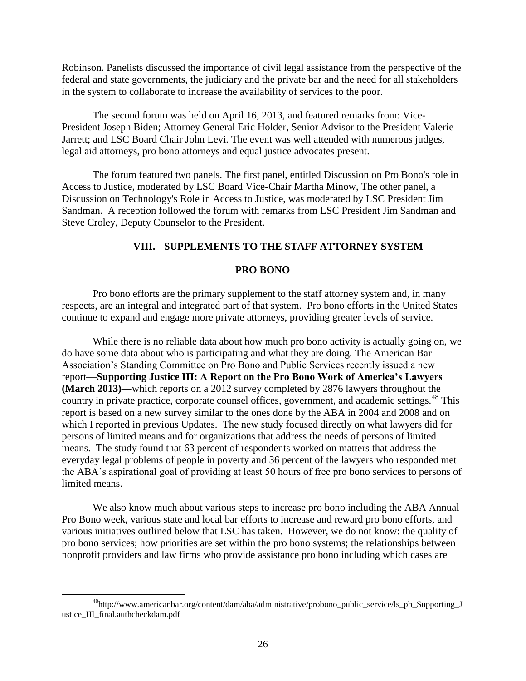Robinson. Panelists discussed the importance of civil legal assistance from the perspective of the federal and state governments, the judiciary and the private bar and the need for all stakeholders in the system to collaborate to increase the availability of services to the poor.

The second forum was held on April 16, 2013, and featured remarks from: Vice-President Joseph Biden; Attorney General Eric Holder, Senior Advisor to the President Valerie Jarrett; and LSC Board Chair John Levi. The event was well attended with numerous judges, legal aid attorneys, pro bono attorneys and equal justice advocates present.

The forum featured two panels. The first panel, entitled Discussion on Pro Bono's role in Access to Justice, moderated by LSC Board Vice-Chair Martha Minow, The other panel, a Discussion on Technology's Role in Access to Justice, was moderated by LSC President Jim Sandman. A reception followed the forum with remarks from LSC President Jim Sandman and Steve Croley, Deputy Counselor to the President.

## **VIII. SUPPLEMENTS TO THE STAFF ATTORNEY SYSTEM**

## **PRO BONO**

Pro bono efforts are the primary supplement to the staff attorney system and, in many respects, are an integral and integrated part of that system. Pro bono efforts in the United States continue to expand and engage more private attorneys, providing greater levels of service.

While there is no reliable data about how much pro bono activity is actually going on, we do have some data about who is participating and what they are doing. The American Bar Association's Standing Committee on Pro Bono and Public Services recently issued a new report—**Supporting Justice III: A Report on the Pro Bono Work of America's Lawyers (March 2013)—**which reports on a 2012 survey completed by 2876 lawyers throughout the country in private practice, corporate counsel offices, government, and academic settings.<sup>48</sup> This report is based on a new survey similar to the ones done by the ABA in 2004 and 2008 and on which I reported in previous Updates. The new study focused directly on what lawyers did for persons of limited means and for organizations that address the needs of persons of limited means. The study found that 63 percent of respondents worked on matters that address the everyday legal problems of people in poverty and 36 percent of the lawyers who responded met the ABA's aspirational goal of providing at least 50 hours of free pro bono services to persons of limited means.

We also know much about various steps to increase pro bono including the ABA Annual Pro Bono week, various state and local bar efforts to increase and reward pro bono efforts, and various initiatives outlined below that LSC has taken. However, we do not know: the quality of pro bono services; how priorities are set within the pro bono systems; the relationships between nonprofit providers and law firms who provide assistance pro bono including which cases are

 $^{48}$ http://www.americanbar.org/content/dam/aba/administrative/probono\_public\_service/ls\_pb\_Supporting\_J ustice\_III\_final.authcheckdam.pdf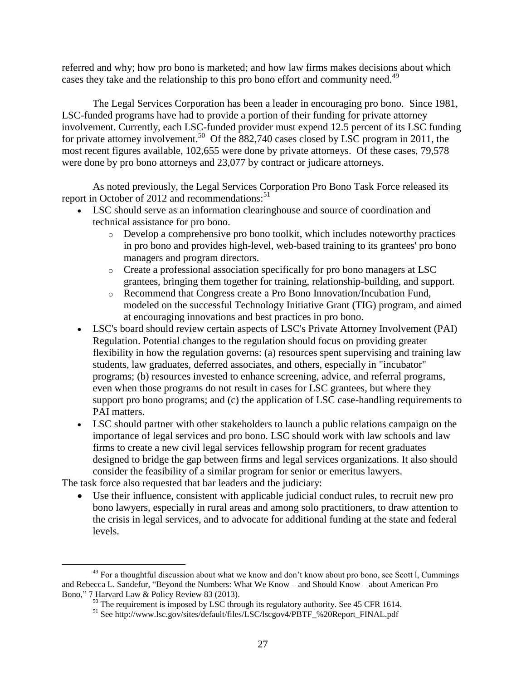referred and why; how pro bono is marketed; and how law firms makes decisions about which cases they take and the relationship to this pro bono effort and community need.<sup>49</sup>

The Legal Services Corporation has been a leader in encouraging pro bono. Since 1981, LSC-funded programs have had to provide a portion of their funding for private attorney involvement. Currently, each LSC-funded provider must expend 12.5 percent of its LSC funding for private attorney involvement.<sup>50</sup> Of the 882,740 cases closed by LSC program in 2011, the most recent figures available, 102,655 were done by private attorneys. Of these cases, 79,578 were done by pro bono attorneys and 23,077 by contract or judicare attorneys.

As noted previously, the Legal Services Corporation Pro Bono Task Force released its report in October of 2012 and recommendations: $51$ 

- LSC should serve as an information clearinghouse and source of coordination and technical assistance for pro bono.
	- $\circ$  Develop a comprehensive pro bono toolkit, which includes noteworthy practices in pro bono and provides high-level, web-based training to its grantees' pro bono managers and program directors.
	- o Create a professional association specifically for pro bono managers at LSC grantees, bringing them together for training, relationship-building, and support.
	- o Recommend that Congress create a Pro Bono Innovation/Incubation Fund, modeled on the successful Technology Initiative Grant (TIG) program, and aimed at encouraging innovations and best practices in pro bono.
- LSC's board should review certain aspects of LSC's Private Attorney Involvement (PAI) Regulation. Potential changes to the regulation should focus on providing greater flexibility in how the regulation governs: (a) resources spent supervising and training law students, law graduates, deferred associates, and others, especially in "incubator" programs; (b) resources invested to enhance screening, advice, and referral programs, even when those programs do not result in cases for LSC grantees, but where they support pro bono programs; and (c) the application of LSC case-handling requirements to PAI matters.
- LSC should partner with other stakeholders to launch a public relations campaign on the importance of legal services and pro bono. LSC should work with law schools and law firms to create a new civil legal services fellowship program for recent graduates designed to bridge the gap between firms and legal services organizations. It also should consider the feasibility of a similar program for senior or emeritus lawyers.

The task force also requested that bar leaders and the judiciary:

 $\overline{a}$ 

 Use their influence, consistent with applicable judicial conduct rules, to recruit new pro bono lawyers, especially in rural areas and among solo practitioners, to draw attention to the crisis in legal services, and to advocate for additional funding at the state and federal levels.

<sup>&</sup>lt;sup>49</sup> For a thoughtful discussion about what we know and don't know about pro bono, see Scott l, Cummings and Rebecca L. Sandefur, "Beyond the Numbers: What We Know – and Should Know – about American Pro Bono," 7 Harvard Law & Policy Review 83 (2013).

 $50$  The requirement is imposed by LSC through its regulatory authority. See 45 CFR 1614.

<sup>51</sup> See http://www.lsc.gov/sites/default/files/LSC/lscgov4/PBTF\_%20Report\_FINAL.pdf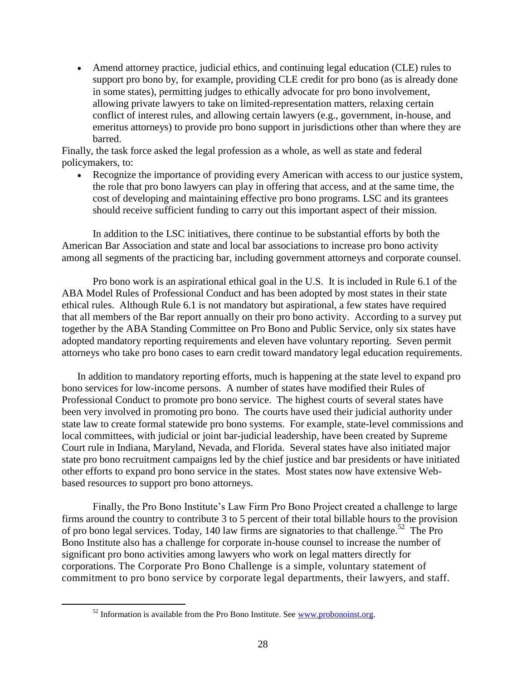Amend attorney practice, judicial ethics, and continuing legal education (CLE) rules to support pro bono by, for example, providing CLE credit for pro bono (as is already done in some states), permitting judges to ethically advocate for pro bono involvement, allowing private lawyers to take on limited-representation matters, relaxing certain conflict of interest rules, and allowing certain lawyers (e.g., government, in-house, and emeritus attorneys) to provide pro bono support in jurisdictions other than where they are barred.

Finally, the task force asked the legal profession as a whole, as well as state and federal policymakers, to:

 Recognize the importance of providing every American with access to our justice system, the role that pro bono lawyers can play in offering that access, and at the same time, the cost of developing and maintaining effective pro bono programs. LSC and its grantees should receive sufficient funding to carry out this important aspect of their mission.

In addition to the LSC initiatives, there continue to be substantial efforts by both the American Bar Association and state and local bar associations to increase pro bono activity among all segments of the practicing bar, including government attorneys and corporate counsel.

Pro bono work is an aspirational ethical goal in the U.S. It is included in Rule 6.1 of the ABA Model Rules of Professional Conduct and has been adopted by most states in their state ethical rules. Although Rule 6.1 is not mandatory but aspirational, a few states have required that all members of the Bar report annually on their pro bono activity. According to a survey put together by the ABA Standing Committee on Pro Bono and Public Service, only six states have adopted mandatory reporting requirements and eleven have voluntary reporting. Seven permit attorneys who take pro bono cases to earn credit toward mandatory legal education requirements.

In addition to mandatory reporting efforts, much is happening at the state level to expand pro bono services for low-income persons. A number of states have modified their Rules of Professional Conduct to promote pro bono service. The highest courts of several states have been very involved in promoting pro bono. The courts have used their judicial authority under state law to create formal statewide pro bono systems. For example, state-level commissions and local committees, with judicial or joint bar-judicial leadership, have been created by Supreme Court rule in Indiana, Maryland, Nevada, and Florida. Several states have also initiated major state pro bono recruitment campaigns led by the chief justice and bar presidents or have initiated other efforts to expand pro bono service in the states. Most states now have extensive Webbased resources to support pro bono attorneys.

Finally, the Pro Bono Institute's Law Firm Pro Bono Project created a challenge to large firms around the country to contribute 3 to 5 percent of their total billable hours to the provision of pro bono legal services. Today, 140 law firms are signatories to that challenge.<sup>52</sup> The Pro Bono Institute also has a challenge for corporate in-house counsel to increase the number of significant pro bono activities among lawyers who work on legal matters directly for corporations. The Corporate Pro Bono Challenge is a simple, voluntary statement of commitment to pro bono service by corporate legal departments, their lawyers, and staff.

 $52$  Information is available from the Pro Bono Institute. See [www.probonoinst.org.](http://www.probonoinst.org/)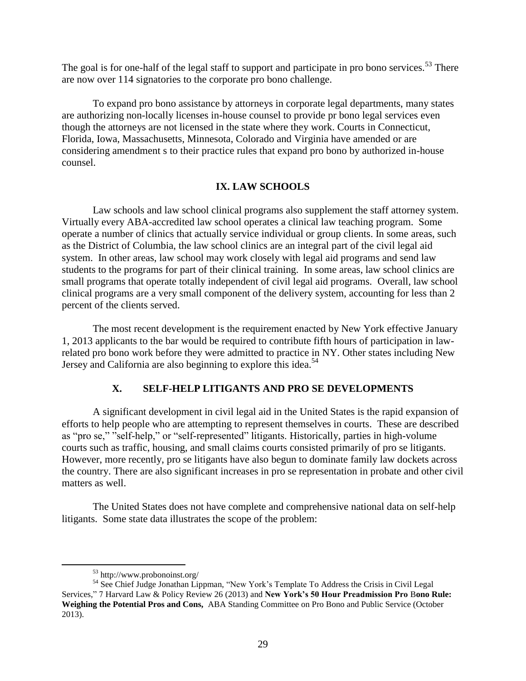The goal is for one-half of the legal staff to support and participate in pro bono services.<sup>53</sup> There are now over 114 signatories to the corporate pro bono challenge.

To expand pro bono assistance by attorneys in corporate legal departments, many states are authorizing non-locally licenses in-house counsel to provide pr bono legal services even though the attorneys are not licensed in the state where they work. Courts in Connecticut, Florida, Iowa, Massachusetts, Minnesota, Colorado and Virginia have amended or are considering amendment s to their practice rules that expand pro bono by authorized in-house counsel.

## **IX. LAW SCHOOLS**

Law schools and law school clinical programs also supplement the staff attorney system. Virtually every ABA-accredited law school operates a clinical law teaching program. Some operate a number of clinics that actually service individual or group clients. In some areas, such as the District of Columbia, the law school clinics are an integral part of the civil legal aid system. In other areas, law school may work closely with legal aid programs and send law students to the programs for part of their clinical training. In some areas, law school clinics are small programs that operate totally independent of civil legal aid programs. Overall, law school clinical programs are a very small component of the delivery system, accounting for less than 2 percent of the clients served.

The most recent development is the requirement enacted by New York effective January 1, 2013 applicants to the bar would be required to contribute fifth hours of participation in lawrelated pro bono work before they were admitted to practice in NY. Other states including New Jersey and California are also beginning to explore this idea.<sup>54</sup>

# **X. SELF-HELP LITIGANTS AND PRO SE DEVELOPMENTS**

A significant development in civil legal aid in the United States is the rapid expansion of efforts to help people who are attempting to represent themselves in courts. These are described as "pro se," "self-help," or "self-represented" litigants. Historically, parties in high-volume courts such as traffic, housing, and small claims courts consisted primarily of pro se litigants. However, more recently, pro se litigants have also begun to dominate family law dockets across the country. There are also significant increases in pro se representation in probate and other civil matters as well.

The United States does not have complete and comprehensive national data on self-help litigants. Some state data illustrates the scope of the problem:

<sup>53</sup> http://www.probonoinst.org/

<sup>&</sup>lt;sup>54</sup> See Chief Judge Jonathan Lippman, "New York's Template To Address the Crisis in Civil Legal Services," 7 Harvard Law & Policy Review 26 (2013) and **New York's 50 Hour Preadmission Pro** B**ono Rule: Weighing the Potential Pros and Cons,** ABA Standing Committee on Pro Bono and Public Service (October 2013).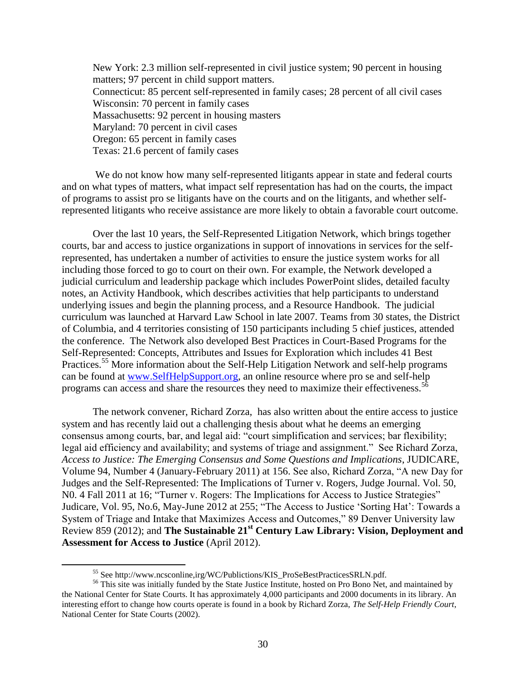New York: 2.3 million self-represented in civil justice system; 90 percent in housing matters; 97 percent in child support matters. Connecticut: 85 percent self-represented in family cases; 28 percent of all civil cases Wisconsin: 70 percent in family cases Massachusetts: 92 percent in housing masters Maryland: 70 percent in civil cases Oregon: 65 percent in family cases Texas: 21.6 percent of family cases

We do not know how many self-represented litigants appear in state and federal courts and on what types of matters, what impact self representation has had on the courts, the impact of programs to assist pro se litigants have on the courts and on the litigants, and whether selfrepresented litigants who receive assistance are more likely to obtain a favorable court outcome.

Over the last 10 years, the Self-Represented Litigation Network, which brings together courts, bar and access to justice organizations in support of innovations in services for the selfrepresented, has undertaken a number of activities to ensure the justice system works for all including those forced to go to court on their own. For example, the Network developed a judicial curriculum and leadership package which includes PowerPoint slides, detailed faculty notes, an Activity Handbook, which describes activities that help participants to understand underlying issues and begin the planning process, and a Resource Handbook. The judicial curriculum was launched at Harvard Law School in late 2007. Teams from 30 states, the District of Columbia, and 4 territories consisting of 150 participants including 5 chief justices, attended the conference. The Network also developed Best Practices in Court-Based Programs for the Self-Represented: Concepts, Attributes and Issues for Exploration which includes 41 Best Practices.<sup>55</sup> More information about the Self-Help Litigation Network and self-help programs can be found at [www.SelfHelpSupport.org,](http://www.selfhelpsupport.org/) an online resource where pro se and self-help programs can access and share the resources they need to maximize their effectiveness.<sup>56</sup>

The network convener, Richard Zorza, has also written about the entire access to justice system and has recently laid out a challenging thesis about what he deems an emerging consensus among courts, bar, and legal aid: "court simplification and services; bar flexibility; legal aid efficiency and availability; and systems of triage and assignment." See Richard Zorza, *Access to Justice: The Emerging Consensus and Some Questions and Implications*, JUDICARE, Volume 94, Number 4 (January-February 2011) at 156. See also, Richard Zorza, "A new Day for Judges and the Self-Represented: The Implications of Turner v. Rogers, Judge Journal. Vol. 50, N0. 4 Fall 2011 at 16; "Turner v. Rogers: The Implications for Access to Justice Strategies" Judicare, Vol. 95, No.6, May-June 2012 at 255; "The Access to Justice 'Sorting Hat': Towards a System of Triage and Intake that Maximizes Access and Outcomes," 89 Denver University law Review 859 (2012); and **The Sustainable 21st Century Law Library: Vision, Deployment and Assessment for Access to Justice** (April 2012).

<sup>55</sup> See http://www.ncsconline,irg/WC/Publictions/KIS\_ProSeBestPracticesSRLN.pdf.

<sup>&</sup>lt;sup>56</sup> This site was initially funded by the State Justice Institute, hosted on Pro Bono Net, and maintained by the National Center for State Courts. It has approximately 4,000 participants and 2000 documents in its library. An interesting effort to change how courts operate is found in a book by Richard Zorza, *The Self-Help Friendly Court*, National Center for State Courts (2002).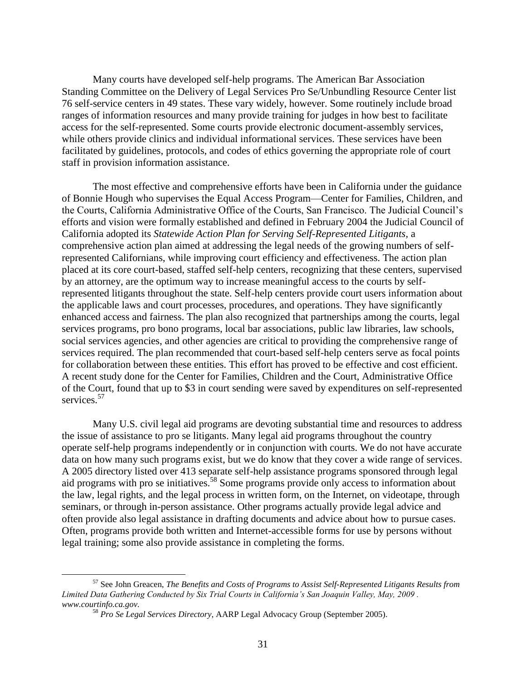Many courts have developed self-help programs. The American Bar Association Standing Committee on the Delivery of Legal Services Pro Se/Unbundling Resource Center list 76 self-service centers in 49 states. These vary widely, however. Some routinely include broad ranges of information resources and many provide training for judges in how best to facilitate access for the self-represented. Some courts provide electronic document-assembly services, while others provide clinics and individual informational services. These services have been facilitated by guidelines, protocols, and codes of ethics governing the appropriate role of court staff in provision information assistance.

The most effective and comprehensive efforts have been in California under the guidance of Bonnie Hough who supervises the Equal Access Program—Center for Families, Children, and the Courts, California Administrative Office of the Courts, San Francisco. The Judicial Council's efforts and vision were formally established and defined in February 2004 the Judicial Council of California adopted its *Statewide Action Plan for Serving Self-Represented Litigants,* a comprehensive action plan aimed at addressing the legal needs of the growing numbers of selfrepresented Californians, while improving court efficiency and effectiveness. The action plan placed at its core court-based, staffed self-help centers, recognizing that these centers, supervised by an attorney, are the optimum way to increase meaningful access to the courts by selfrepresented litigants throughout the state. Self-help centers provide court users information about the applicable laws and court processes, procedures, and operations. They have significantly enhanced access and fairness. The plan also recognized that partnerships among the courts, legal services programs, pro bono programs, local bar associations, public law libraries, law schools, social services agencies, and other agencies are critical to providing the comprehensive range of services required. The plan recommended that court-based self-help centers serve as focal points for collaboration between these entities. This effort has proved to be effective and cost efficient. A recent study done for the Center for Families, Children and the Court, Administrative Office of the Court, found that up to \$3 in court sending were saved by expenditures on self-represented services.<sup>57</sup>

Many U.S. civil legal aid programs are devoting substantial time and resources to address the issue of assistance to pro se litigants. Many legal aid programs throughout the country operate self-help programs independently or in conjunction with courts. We do not have accurate data on how many such programs exist, but we do know that they cover a wide range of services. A 2005 directory listed over 413 separate self-help assistance programs sponsored through legal aid programs with pro se initiatives.<sup>58</sup> Some programs provide only access to information about the law, legal rights, and the legal process in written form, on the Internet, on videotape, through seminars, or through in-person assistance. Other programs actually provide legal advice and often provide also legal assistance in drafting documents and advice about how to pursue cases. Often, programs provide both written and Internet-accessible forms for use by persons without legal training; some also provide assistance in completing the forms.

<sup>57</sup> See John Greacen, *The Benefits and Costs of Programs to Assist Self-Represented Litigants Results from Limited Data Gathering Conducted by Six Trial Courts in California's San Joaquin Valley, May, 2009 . www.courtinfo.ca.gov.* 

<sup>58</sup> *Pro Se Legal Services Directory*, AARP Legal Advocacy Group (September 2005).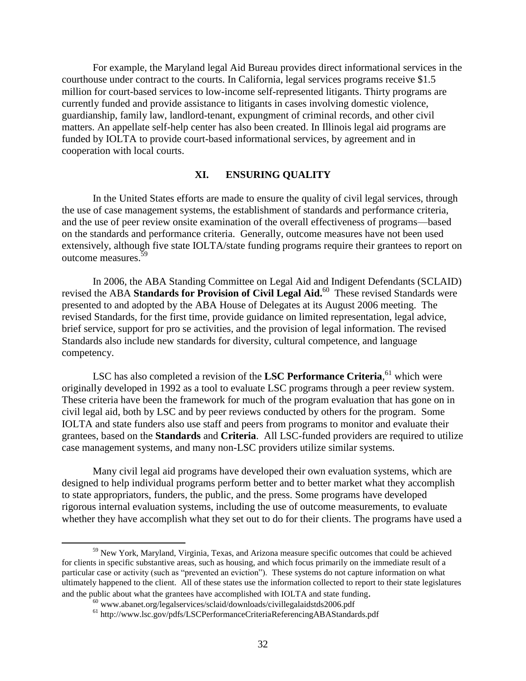For example, the Maryland legal Aid Bureau provides direct informational services in the courthouse under contract to the courts. In California, legal services programs receive \$1.5 million for court-based services to low-income self-represented litigants. Thirty programs are currently funded and provide assistance to litigants in cases involving domestic violence, guardianship, family law, landlord-tenant, expungment of criminal records, and other civil matters. An appellate self-help center has also been created. In Illinois legal aid programs are funded by IOLTA to provide court-based informational services, by agreement and in cooperation with local courts.

## **XI. ENSURING QUALITY**

In the United States efforts are made to ensure the quality of civil legal services, through the use of case management systems, the establishment of standards and performance criteria, and the use of peer review onsite examination of the overall effectiveness of programs—based on the standards and performance criteria. Generally, outcome measures have not been used extensively, although five state IOLTA/state funding programs require their grantees to report on outcome measures.<sup>59</sup>

In 2006, the ABA Standing Committee on Legal Aid and Indigent Defendants (SCLAID) revised the ABA Standards for Provision of Civil Legal Aid.<sup>60</sup> These revised Standards were presented to and adopted by the ABA House of Delegates at its August 2006 meeting. The revised Standards, for the first time, provide guidance on limited representation, legal advice, brief service, support for pro se activities, and the provision of legal information. The revised Standards also include new standards for diversity, cultural competence, and language competency.

LSC has also completed a revision of the LSC Performance Criteria, <sup>61</sup> which were originally developed in 1992 as a tool to evaluate LSC programs through a peer review system. These criteria have been the framework for much of the program evaluation that has gone on in civil legal aid, both by LSC and by peer reviews conducted by others for the program. Some IOLTA and state funders also use staff and peers from programs to monitor and evaluate their grantees, based on the **Standards** and **Criteria**. All LSC-funded providers are required to utilize case management systems, and many non-LSC providers utilize similar systems.

Many civil legal aid programs have developed their own evaluation systems, which are designed to help individual programs perform better and to better market what they accomplish to state appropriators, funders, the public, and the press. Some programs have developed rigorous internal evaluation systems, including the use of outcome measurements, to evaluate whether they have accomplish what they set out to do for their clients. The programs have used a

<sup>&</sup>lt;sup>59</sup> New York, Maryland, Virginia, Texas, and Arizona measure specific outcomes that could be achieved for clients in specific substantive areas, such as housing, and which focus primarily on the immediate result of a particular case or activity (such as "prevented an eviction"). These systems do not capture information on what ultimately happened to the client. All of these states use the information collected to report to their state legislatures and the public about what the grantees have accomplished with IOLTA and state funding.

<sup>60</sup> www.abanet.org/legalservices/sclaid/downloads/civillegalaidstds2006.pdf

<sup>61</sup> http://www.lsc.gov/pdfs/LSCPerformanceCriteriaReferencingABAStandards.pdf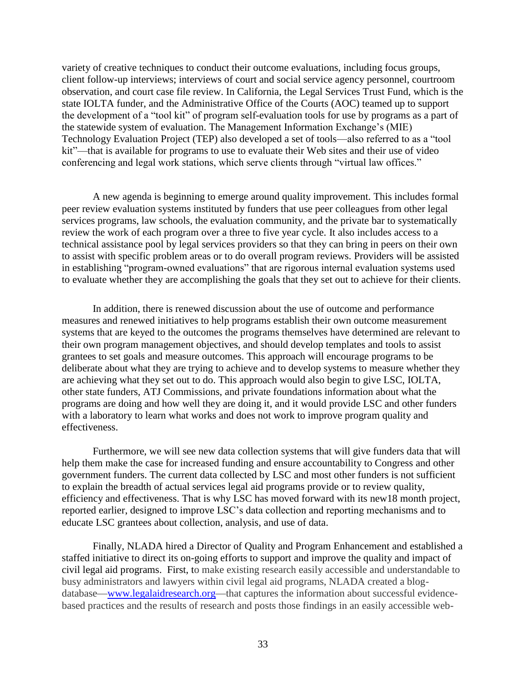variety of creative techniques to conduct their outcome evaluations, including focus groups, client follow-up interviews; interviews of court and social service agency personnel, courtroom observation, and court case file review. In California, the Legal Services Trust Fund, which is the state IOLTA funder, and the Administrative Office of the Courts (AOC) teamed up to support the development of a "tool kit" of program self-evaluation tools for use by programs as a part of the statewide system of evaluation. The Management Information Exchange's (MIE) Technology Evaluation Project (TEP) also developed a set of tools—also referred to as a "tool kit"—that is available for programs to use to evaluate their Web sites and their use of video conferencing and legal work stations, which serve clients through "virtual law offices."

A new agenda is beginning to emerge around quality improvement. This includes formal peer review evaluation systems instituted by funders that use peer colleagues from other legal services programs, law schools, the evaluation community, and the private bar to systematically review the work of each program over a three to five year cycle. It also includes access to a technical assistance pool by legal services providers so that they can bring in peers on their own to assist with specific problem areas or to do overall program reviews. Providers will be assisted in establishing "program-owned evaluations" that are rigorous internal evaluation systems used to evaluate whether they are accomplishing the goals that they set out to achieve for their clients.

In addition, there is renewed discussion about the use of outcome and performance measures and renewed initiatives to help programs establish their own outcome measurement systems that are keyed to the outcomes the programs themselves have determined are relevant to their own program management objectives, and should develop templates and tools to assist grantees to set goals and measure outcomes. This approach will encourage programs to be deliberate about what they are trying to achieve and to develop systems to measure whether they are achieving what they set out to do. This approach would also begin to give LSC, IOLTA, other state funders, ATJ Commissions, and private foundations information about what the programs are doing and how well they are doing it, and it would provide LSC and other funders with a laboratory to learn what works and does not work to improve program quality and effectiveness.

Furthermore, we will see new data collection systems that will give funders data that will help them make the case for increased funding and ensure accountability to Congress and other government funders. The current data collected by LSC and most other funders is not sufficient to explain the breadth of actual services legal aid programs provide or to review quality, efficiency and effectiveness. That is why LSC has moved forward with its new18 month project, reported earlier, designed to improve LSC's data collection and reporting mechanisms and to educate LSC grantees about collection, analysis, and use of data.

Finally, NLADA hired a Director of Quality and Program Enhancement and established a staffed initiative to direct its on-going efforts to support and improve the quality and impact of civil legal aid programs. First, to make existing research easily accessible and understandable to busy administrators and lawyers within civil legal aid programs, NLADA created a blogdatabase[—www.legalaidresearch.org—](http://www.legalaidresearch.org/)that captures the information about successful evidencebased practices and the results of research and posts those findings in an easily accessible web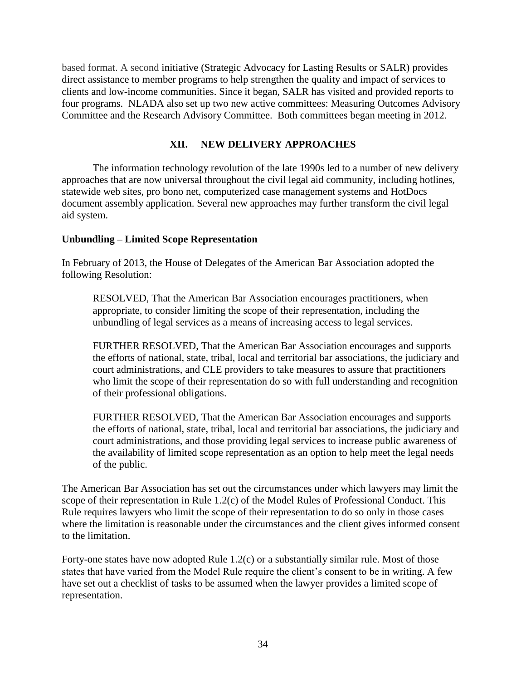based format. A second initiative (Strategic Advocacy for Lasting Results or SALR) provides direct assistance to member programs to help strengthen the quality and impact of services to clients and low-income communities. Since it began, SALR has visited and provided reports to four programs. NLADA also set up two new active committees: Measuring Outcomes Advisory Committee and the Research Advisory Committee. Both committees began meeting in 2012.

# **XII. NEW DELIVERY APPROACHES**

The information technology revolution of the late 1990s led to a number of new delivery approaches that are now universal throughout the civil legal aid community, including hotlines, statewide web sites, pro bono net, computerized case management systems and HotDocs document assembly application. Several new approaches may further transform the civil legal aid system.

# **Unbundling – Limited Scope Representation**

In February of 2013, the House of Delegates of the American Bar Association adopted the following Resolution:

RESOLVED, That the American Bar Association encourages practitioners, when appropriate, to consider limiting the scope of their representation, including the unbundling of legal services as a means of increasing access to legal services.

FURTHER RESOLVED, That the American Bar Association encourages and supports the efforts of national, state, tribal, local and territorial bar associations, the judiciary and court administrations, and CLE providers to take measures to assure that practitioners who limit the scope of their representation do so with full understanding and recognition of their professional obligations.

FURTHER RESOLVED, That the American Bar Association encourages and supports the efforts of national, state, tribal, local and territorial bar associations, the judiciary and court administrations, and those providing legal services to increase public awareness of the availability of limited scope representation as an option to help meet the legal needs of the public.

The American Bar Association has set out the circumstances under which lawyers may limit the scope of their representation in Rule 1.2(c) of the Model Rules of Professional Conduct. This Rule requires lawyers who limit the scope of their representation to do so only in those cases where the limitation is reasonable under the circumstances and the client gives informed consent to the limitation.

Forty-one states have now adopted Rule 1.2(c) or a substantially similar rule. Most of those states that have varied from the Model Rule require the client's consent to be in writing. A few have set out a checklist of tasks to be assumed when the lawyer provides a limited scope of representation.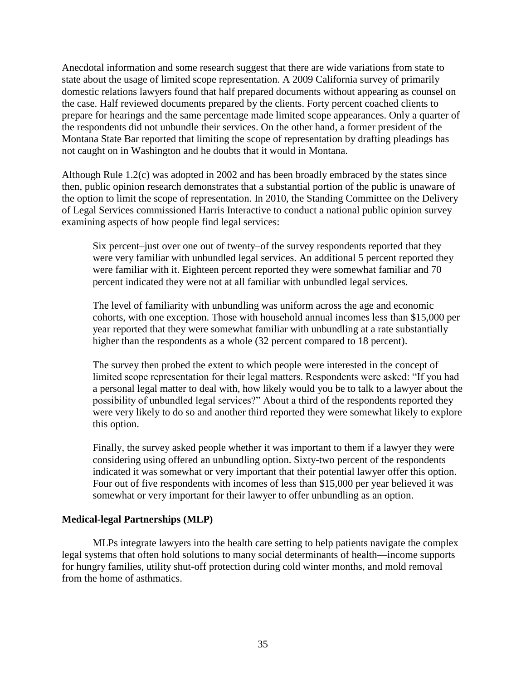Anecdotal information and some research suggest that there are wide variations from state to state about the usage of limited scope representation. A 2009 California survey of primarily domestic relations lawyers found that half prepared documents without appearing as counsel on the case. Half reviewed documents prepared by the clients. Forty percent coached clients to prepare for hearings and the same percentage made limited scope appearances. Only a quarter of the respondents did not unbundle their services. On the other hand, a former president of the Montana State Bar reported that limiting the scope of representation by drafting pleadings has not caught on in Washington and he doubts that it would in Montana.

Although Rule 1.2(c) was adopted in 2002 and has been broadly embraced by the states since then, public opinion research demonstrates that a substantial portion of the public is unaware of the option to limit the scope of representation. In 2010, the Standing Committee on the Delivery of Legal Services commissioned Harris Interactive to conduct a national public opinion survey examining aspects of how people find legal services:

Six percent—just over one out of twenty—of the survey respondents reported that they were very familiar with unbundled legal services. An additional 5 percent reported they were familiar with it. Eighteen percent reported they were somewhat familiar and 70 percent indicated they were not at all familiar with unbundled legal services.

The level of familiarity with unbundling was uniform across the age and economic cohorts, with one exception. Those with household annual incomes less than \$15,000 per year reported that they were somewhat familiar with unbundling at a rate substantially higher than the respondents as a whole (32 percent compared to 18 percent).

The survey then probed the extent to which people were interested in the concept of limited scope representation for their legal matters. Respondents were asked: "If you had a personal legal matter to deal with, how likely would you be to talk to a lawyer about the possibility of unbundled legal services?" About a third of the respondents reported they were very likely to do so and another third reported they were somewhat likely to explore this option.

Finally, the survey asked people whether it was important to them if a lawyer they were considering using offered an unbundling option. Sixty-two percent of the respondents indicated it was somewhat or very important that their potential lawyer offer this option. Four out of five respondents with incomes of less than \$15,000 per year believed it was somewhat or very important for their lawyer to offer unbundling as an option.

## **Medical-legal Partnerships (MLP)**

MLPs integrate lawyers into the health care setting to help patients navigate the complex legal systems that often hold solutions to many social determinants of health—income supports for hungry families, utility shut-off protection during cold winter months, and mold removal from the home of asthmatics.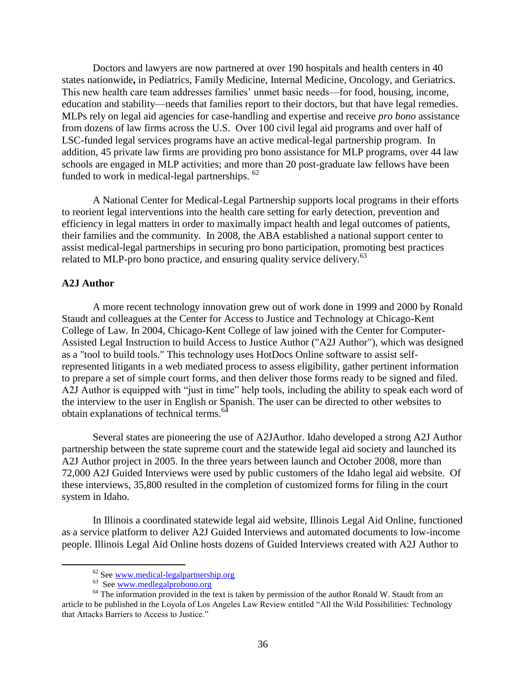Doctors and lawyers are now partnered at over 190 hospitals and health centers in 40 states nationwide**,** in Pediatrics, Family Medicine, Internal Medicine, Oncology, and Geriatrics. This new health care team addresses families' unmet basic needs—for food, housing, income, education and stability—needs that families report to their doctors, but that have legal remedies. MLPs rely on legal aid agencies for case-handling and expertise and receive *pro bono* assistance from dozens of law firms across the U.S. Over 100 civil legal aid programs and over half of LSC-funded legal services programs have an active medical-legal partnership program. In addition, 45 private law firms are providing pro bono assistance for MLP programs, over 44 law schools are engaged in MLP activities; and more than 20 post-graduate law fellows have been funded to work in medical-legal partnerships. <sup>62</sup>

A National Center for Medical-Legal Partnership supports local programs in their efforts to reorient legal interventions into the health care setting for early detection, prevention and efficiency in legal matters in order to maximally impact health and legal outcomes of patients, their families and the community. In 2008, the ABA established a national support center to assist medical-legal partnerships in securing pro bono participation, promoting best practices related to MLP-pro bono practice, and ensuring quality service delivery.<sup>63</sup>

## **A2J Author**

 $\overline{a}$ 

A more recent technology innovation grew out of work done in 1999 and 2000 by Ronald Staudt and colleagues at the Center for Access to Justice and Technology at Chicago-Kent College of Law. In 2004, Chicago-Kent College of law joined with the Center for Computer-Assisted Legal Instruction to build Access to Justice Author ("A2J Author"), which was designed as a "tool to build tools." This technology uses HotDocs Online software to assist selfrepresented litigants in a web mediated process to assess eligibility, gather pertinent information to prepare a set of simple court forms, and then deliver those forms ready to be signed and filed. A2J Author is equipped with "just in time" help tools, including the ability to speak each word of the interview to the user in English or Spanish. The user can be directed to other websites to obtain explanations of technical terms.<sup>64</sup>

Several states are pioneering the use of A2JAuthor. Idaho developed a strong A2J Author partnership between the state supreme court and the statewide legal aid society and launched its A2J Author project in 2005. In the three years between launch and October 2008, more than 72,000 A2J Guided Interviews were used by public customers of the Idaho legal aid website. Of these interviews, 35,800 resulted in the completion of customized forms for filing in the court system in Idaho.

In Illinois a coordinated statewide legal aid website, Illinois Legal Aid Online, functioned as a service platform to deliver A2J Guided Interviews and automated documents to low-income people. Illinois Legal Aid Online hosts dozens of Guided Interviews created with A2J Author to

<sup>62</sup> See [www.medical-legalpartnership.org](http://www.medical-legalpartnership.org/)

<sup>63</sup> See [www.medlegalprobono.org](http://www.medlegalprobono.org/)

<sup>&</sup>lt;sup>64</sup> The information provided in the text is taken by permission of the author Ronald W. Staudt from an article to be published in the Loyola of Los Angeles Law Review entitled "All the Wild Possibilities: Technology that Attacks Barriers to Access to Justice."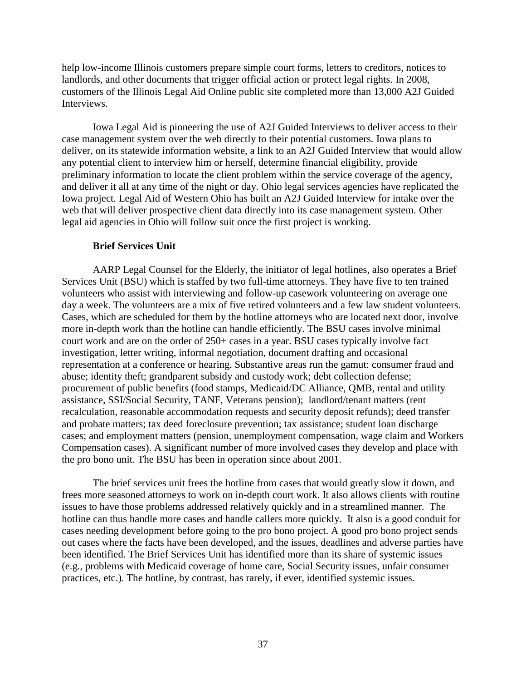help low-income Illinois customers prepare simple court forms, letters to creditors, notices to landlords, and other documents that trigger official action or protect legal rights. In 2008, customers of the Illinois Legal Aid Online public site completed more than 13,000 A2J Guided Interviews.

Iowa Legal Aid is pioneering the use of A2J Guided Interviews to deliver access to their case management system over the web directly to their potential customers. Iowa plans to deliver, on its statewide information website, a link to an A2J Guided Interview that would allow any potential client to interview him or herself, determine financial eligibility, provide preliminary information to locate the client problem within the service coverage of the agency, and deliver it all at any time of the night or day. Ohio legal services agencies have replicated the Iowa project. Legal Aid of Western Ohio has built an A2J Guided Interview for intake over the web that will deliver prospective client data directly into its case management system. Other legal aid agencies in Ohio will follow suit once the first project is working.

## **Brief Services Unit**

AARP Legal Counsel for the Elderly, the initiator of legal hotlines, also operates a Brief Services Unit (BSU) which is staffed by two full-time attorneys. They have five to ten trained volunteers who assist with interviewing and follow-up casework volunteering on average one day a week. The volunteers are a mix of five retired volunteers and a few law student volunteers. Cases, which are scheduled for them by the hotline attorneys who are located next door, involve more in-depth work than the hotline can handle efficiently. The BSU cases involve minimal court work and are on the order of 250+ cases in a year. BSU cases typically involve fact investigation, letter writing, informal negotiation, document drafting and occasional representation at a conference or hearing. Substantive areas run the gamut: consumer fraud and abuse; identity theft; grandparent subsidy and custody work; debt collection defense; procurement of public benefits (food stamps, Medicaid/DC Alliance, QMB, rental and utility assistance, SSI/Social Security, TANF, Veterans pension); landlord/tenant matters (rent recalculation, reasonable accommodation requests and security deposit refunds); deed transfer and probate matters; tax deed foreclosure prevention; tax assistance; student loan discharge cases; and employment matters (pension, unemployment compensation, wage claim and Workers Compensation cases). A significant number of more involved cases they develop and place with the pro bono unit. The BSU has been in operation since about 2001.

The brief services unit frees the hotline from cases that would greatly slow it down, and frees more seasoned attorneys to work on in-depth court work. It also allows clients with routine issues to have those problems addressed relatively quickly and in a streamlined manner. The hotline can thus handle more cases and handle callers more quickly. It also is a good conduit for cases needing development before going to the pro bono project. A good pro bono project sends out cases where the facts have been developed, and the issues, deadlines and adverse parties have been identified. The Brief Services Unit has identified more than its share of systemic issues (e.g., problems with Medicaid coverage of home care, Social Security issues, unfair consumer practices, etc.). The hotline, by contrast, has rarely, if ever, identified systemic issues.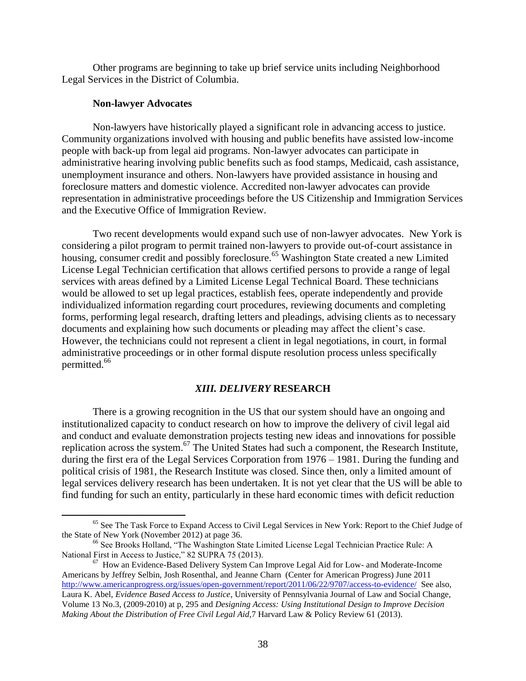Other programs are beginning to take up brief service units including Neighborhood Legal Services in the District of Columbia.

## **Non-lawyer Advocates**

 $\overline{a}$ 

Non-lawyers have historically played a significant role in advancing access to justice. Community organizations involved with housing and public benefits have assisted low-income people with back-up from legal aid programs. Non-lawyer advocates can participate in administrative hearing involving public benefits such as food stamps, Medicaid, cash assistance, unemployment insurance and others. Non-lawyers have provided assistance in housing and foreclosure matters and domestic violence. Accredited non-lawyer advocates can provide representation in administrative proceedings before the US Citizenship and Immigration Services and the Executive Office of Immigration Review.

Two recent developments would expand such use of non-lawyer advocates. New York is considering a pilot program to permit trained non-lawyers to provide out-of-court assistance in housing, consumer credit and possibly foreclosure.<sup>65</sup> Washington State created a new Limited License Legal Technician certification that allows certified persons to provide a range of legal services with areas defined by a Limited License Legal Technical Board. These technicians would be allowed to set up legal practices, establish fees, operate independently and provide individualized information regarding court procedures, reviewing documents and completing forms, performing legal research, drafting letters and pleadings, advising clients as to necessary documents and explaining how such documents or pleading may affect the client's case. However, the technicians could not represent a client in legal negotiations, in court, in formal administrative proceedings or in other formal dispute resolution process unless specifically permitted.<sup>66</sup>

## *XIII. DELIVERY* **RESEARCH**

There is a growing recognition in the US that our system should have an ongoing and institutionalized capacity to conduct research on how to improve the delivery of civil legal aid and conduct and evaluate demonstration projects testing new ideas and innovations for possible replication across the system.<sup>67</sup> The United States had such a component, the Research Institute, during the first era of the Legal Services Corporation from 1976 – 1981. During the funding and political crisis of 1981, the Research Institute was closed. Since then, only a limited amount of legal services delivery research has been undertaken. It is not yet clear that the US will be able to find funding for such an entity, particularly in these hard economic times with deficit reduction

<sup>&</sup>lt;sup>65</sup> See The Task Force to Expand Access to Civil Legal Services in New York: Report to the Chief Judge of the State of New York (November 2012) at page 36.

<sup>&</sup>lt;sup>66</sup> See Brooks Holland, "The Washington State Limited License Legal Technician Practice Rule: A National First in Access to Justice," 82 SUPRA 75 (2013).

 $67$  How an Evidence-Based Delivery System Can Improve Legal Aid for Low- and Moderate-Income Americans by Jeffrey Selbin, Josh Rosenthal, and Jeanne Charn (Center for American Progress) June 2011 <http://www.americanprogress.org/issues/open-government/report/2011/06/22/9707/access-to-evidence/>See also, Laura K. Abel, *Evidence Based Access to Justice*, University of Pennsylvania Journal of Law and Social Change, Volume 13 No.3, (2009-2010) at p, 295 and *Designing Access: Using Institutional Design to Improve Decision Making About the Distribution of Free Civil Legal Aid*,7 Harvard Law & Policy Review 61 (2013).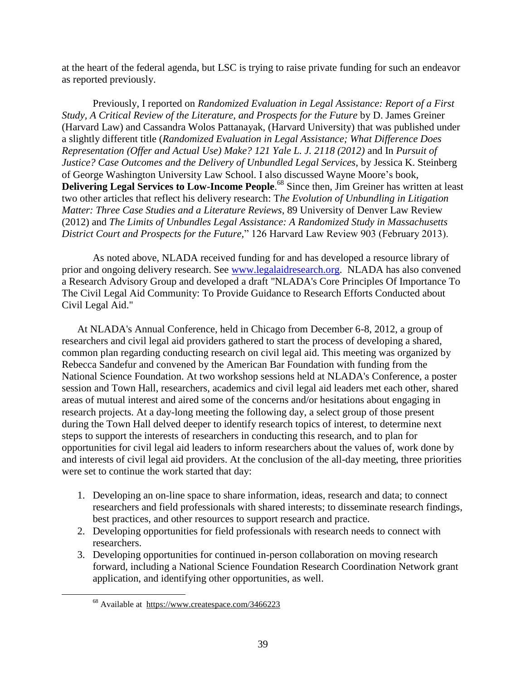at the heart of the federal agenda, but LSC is trying to raise private funding for such an endeavor as reported previously.

Previously, I reported on *Randomized Evaluation in Legal Assistance: Report of a First Study, A Critical Review of the Literature, and Prospects for the Future* by D. James Greiner (Harvard Law) and Cassandra Wolos Pattanayak, (Harvard University) that was published under a slightly different title (*Randomized Evaluation in Legal Assistance; What Difference Does Representation (Offer and Actual Use) Make? 121 Yale L. J. 2118 (2012)* and In *Pursuit of Justice? Case Outcomes and the Delivery of Unbundled Legal Services*, by Jessica K. Steinberg of George Washington University Law School. I also discussed Wayne Moore's book, **Delivering Legal Services to Low-Income People**. <sup>68</sup> Since then, Jim Greiner has written at least two other articles that reflect his delivery research: T*he Evolution of Unbundling in Litigation Matter: Three Case Studies and a Literature Reviews*, 89 University of Denver Law Review (2012) and *The Limits of Unbundles Legal Assistance: A Randomized Study in Massachusetts District Court and Prospects for the Future,*" 126 Harvard Law Review 903 (February 2013).

As noted above, NLADA received funding for and has developed a resource library of prior and ongoing delivery research. See [www.legalaidresearch.org.](http://www.legalaidresearch.org/) NLADA has also convened a Research Advisory Group and developed a draft ["NLADA's Core Principles Of Importance To](http://r20.rs6.net/tn.jsp?e=001S7SNluKScDrkWzHRzNQKPis6s9EUwo2NCcX3qBJG5DlMn3hJew9kb0NixHttq9DliTR-W_lBocUJKAgCmlBwTCt1dzgEMcryecByPrPezifBAjaMDAWTJ4JIsRZPGpyqEZxpB6RGT4VxS_GiW_pXApzSsevmkY3s7zNCSuR971KcJiK9I65hcA==)  [The Civil Legal Aid Community: To Provide Guidance to Research Efforts Conducted about](http://r20.rs6.net/tn.jsp?e=001S7SNluKScDrkWzHRzNQKPis6s9EUwo2NCcX3qBJG5DlMn3hJew9kb0NixHttq9DliTR-W_lBocUJKAgCmlBwTCt1dzgEMcryecByPrPezifBAjaMDAWTJ4JIsRZPGpyqEZxpB6RGT4VxS_GiW_pXApzSsevmkY3s7zNCSuR971KcJiK9I65hcA==)  [Civil Legal Aid."](http://r20.rs6.net/tn.jsp?e=001S7SNluKScDrkWzHRzNQKPis6s9EUwo2NCcX3qBJG5DlMn3hJew9kb0NixHttq9DliTR-W_lBocUJKAgCmlBwTCt1dzgEMcryecByPrPezifBAjaMDAWTJ4JIsRZPGpyqEZxpB6RGT4VxS_GiW_pXApzSsevmkY3s7zNCSuR971KcJiK9I65hcA==) 

At NLADA's Annual Conference, held in Chicago from December 6-8, 2012, a group of researchers and civil legal aid providers gathered to start the process of developing a shared, common plan regarding conducting research on civil legal aid. This meeting was organized by Rebecca Sandefur and convened by the American Bar Foundation with funding from the National Science Foundation. At two workshop sessions held at NLADA's Conference, a poster session and Town Hall, researchers, academics and civil legal aid leaders met each other, shared areas of mutual interest and aired some of the concerns and/or hesitations about engaging in research projects. At a day-long meeting the following day, a select group of those present during the Town Hall delved deeper to identify research topics of interest, to determine next steps to support the interests of researchers in conducting this research, and to plan for opportunities for civil legal aid leaders to inform researchers about the values of, work done by and interests of civil legal aid providers. At the conclusion of the all-day meeting, three priorities were set to continue the work started that day:

- 1. Developing an on-line space to share information, ideas, research and data; to connect researchers and field professionals with shared interests; to disseminate research findings, best practices, and other resources to support research and practice.
- 2. Developing opportunities for field professionals with research needs to connect with researchers.
- 3. Developing opportunities for continued in-person collaboration on moving research forward, including a National Science Foundation Research Coordination Network grant application, and identifying other opportunities, as well.

<sup>68</sup> Available at <https://www.createspace.com/3466223>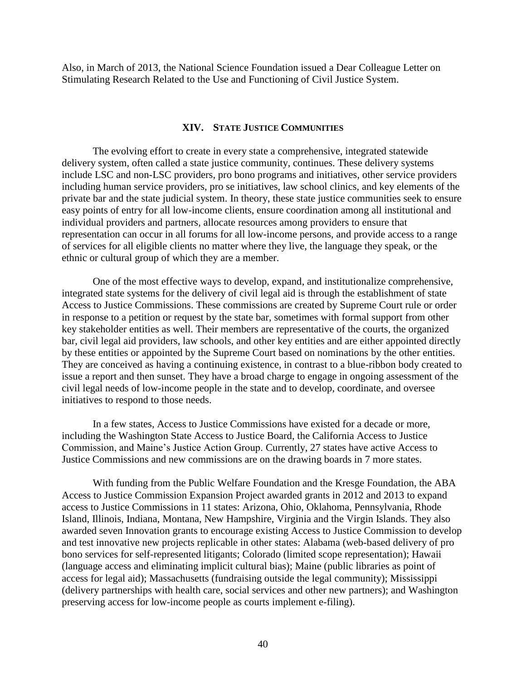Also, in March of 2013, the National Science Foundation issued a Dear Colleague Letter on Stimulating Research Related to the Use and Functioning of Civil Justice System.

#### **XIV. STATE JUSTICE COMMUNITIES**

The evolving effort to create in every state a comprehensive, integrated statewide delivery system, often called a state justice community, continues. These delivery systems include LSC and non-LSC providers, pro bono programs and initiatives, other service providers including human service providers, pro se initiatives, law school clinics, and key elements of the private bar and the state judicial system. In theory, these state justice communities seek to ensure easy points of entry for all low-income clients, ensure coordination among all institutional and individual providers and partners, allocate resources among providers to ensure that representation can occur in all forums for all low-income persons, and provide access to a range of services for all eligible clients no matter where they live, the language they speak, or the ethnic or cultural group of which they are a member.

One of the most effective ways to develop, expand, and institutionalize comprehensive, integrated state systems for the delivery of civil legal aid is through the establishment of state Access to Justice Commissions. These commissions are created by Supreme Court rule or order in response to a petition or request by the state bar, sometimes with formal support from other key stakeholder entities as well. Their members are representative of the courts, the organized bar, civil legal aid providers, law schools, and other key entities and are either appointed directly by these entities or appointed by the Supreme Court based on nominations by the other entities. They are conceived as having a continuing existence, in contrast to a blue-ribbon body created to issue a report and then sunset. They have a broad charge to engage in ongoing assessment of the civil legal needs of low-income people in the state and to develop, coordinate, and oversee initiatives to respond to those needs.

In a few states, Access to Justice Commissions have existed for a decade or more, including the Washington State Access to Justice Board, the California Access to Justice Commission, and Maine's Justice Action Group. Currently, 27 states have active Access to Justice Commissions and new commissions are on the drawing boards in 7 more states.

With funding from the Public Welfare Foundation and the Kresge Foundation, the ABA Access to Justice Commission Expansion Project awarded grants in 2012 and 2013 to expand access to Justice Commissions in 11 states: Arizona, Ohio, Oklahoma, Pennsylvania, Rhode Island, Illinois, Indiana, Montana, New Hampshire, Virginia and the Virgin Islands. They also awarded seven Innovation grants to encourage existing Access to Justice Commission to develop and test innovative new projects replicable in other states: Alabama (web-based delivery of pro bono services for self-represented litigants; Colorado (limited scope representation); Hawaii (language access and eliminating implicit cultural bias); Maine (public libraries as point of access for legal aid); Massachusetts (fundraising outside the legal community); Mississippi (delivery partnerships with health care, social services and other new partners); and Washington preserving access for low-income people as courts implement e-filing).